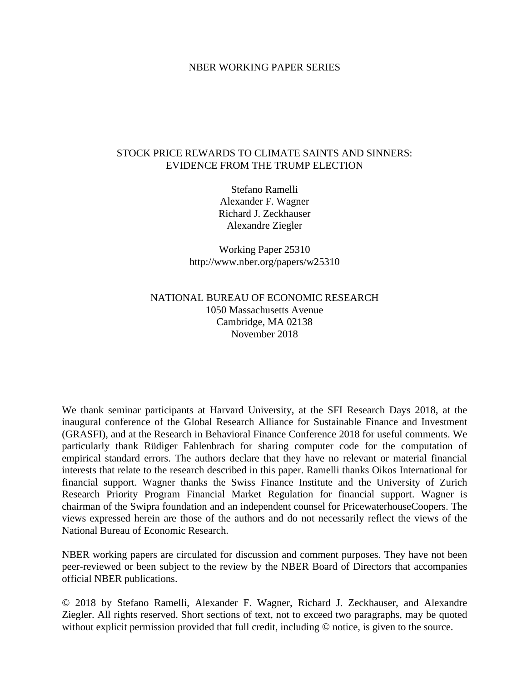#### NBER WORKING PAPER SERIES

#### STOCK PRICE REWARDS TO CLIMATE SAINTS AND SINNERS: EVIDENCE FROM THE TRUMP ELECTION

Stefano Ramelli Alexander F. Wagner Richard J. Zeckhauser Alexandre Ziegler

Working Paper 25310 http://www.nber.org/papers/w25310

### NATIONAL BUREAU OF ECONOMIC RESEARCH 1050 Massachusetts Avenue Cambridge, MA 02138 November 2018

We thank seminar participants at Harvard University, at the SFI Research Days 2018, at the inaugural conference of the Global Research Alliance for Sustainable Finance and Investment (GRASFI), and at the Research in Behavioral Finance Conference 2018 for useful comments. We particularly thank Rüdiger Fahlenbrach for sharing computer code for the computation of empirical standard errors. The authors declare that they have no relevant or material financial interests that relate to the research described in this paper. Ramelli thanks Oikos International for financial support. Wagner thanks the Swiss Finance Institute and the University of Zurich Research Priority Program Financial Market Regulation for financial support. Wagner is chairman of the Swipra foundation and an independent counsel for PricewaterhouseCoopers. The views expressed herein are those of the authors and do not necessarily reflect the views of the National Bureau of Economic Research.

NBER working papers are circulated for discussion and comment purposes. They have not been peer-reviewed or been subject to the review by the NBER Board of Directors that accompanies official NBER publications.

© 2018 by Stefano Ramelli, Alexander F. Wagner, Richard J. Zeckhauser, and Alexandre Ziegler. All rights reserved. Short sections of text, not to exceed two paragraphs, may be quoted without explicit permission provided that full credit, including  $\odot$  notice, is given to the source.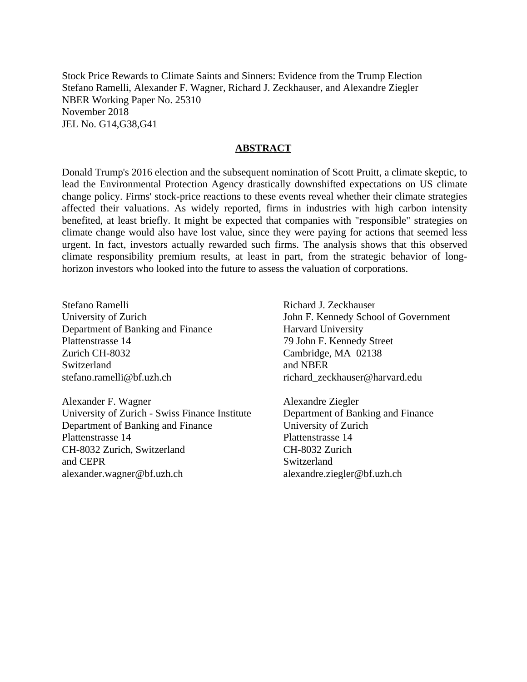Stock Price Rewards to Climate Saints and Sinners: Evidence from the Trump Election Stefano Ramelli, Alexander F. Wagner, Richard J. Zeckhauser, and Alexandre Ziegler NBER Working Paper No. 25310 November 2018 JEL No. G14,G38,G41

#### **ABSTRACT**

Donald Trump's 2016 election and the subsequent nomination of Scott Pruitt, a climate skeptic, to lead the Environmental Protection Agency drastically downshifted expectations on US climate change policy. Firms' stock-price reactions to these events reveal whether their climate strategies affected their valuations. As widely reported, firms in industries with high carbon intensity benefited, at least briefly. It might be expected that companies with "responsible" strategies on climate change would also have lost value, since they were paying for actions that seemed less urgent. In fact, investors actually rewarded such firms. The analysis shows that this observed climate responsibility premium results, at least in part, from the strategic behavior of longhorizon investors who looked into the future to assess the valuation of corporations.

Stefano Ramelli University of Zurich Department of Banking and Finance Plattenstrasse 14 Zurich CH-8032 Switzerland stefano.ramelli@bf.uzh.ch

Alexander F. Wagner University of Zurich - Swiss Finance Institute Department of Banking and Finance Plattenstrasse 14 CH-8032 Zurich, Switzerland and CEPR alexander.wagner@bf.uzh.ch

Richard J. Zeckhauser John F. Kennedy School of Government Harvard University 79 John F. Kennedy Street Cambridge, MA 02138 and NBER richard\_zeckhauser@harvard.edu

Alexandre Ziegler Department of Banking and Finance University of Zurich Plattenstrasse 14 CH-8032 Zurich Switzerland alexandre.ziegler@bf.uzh.ch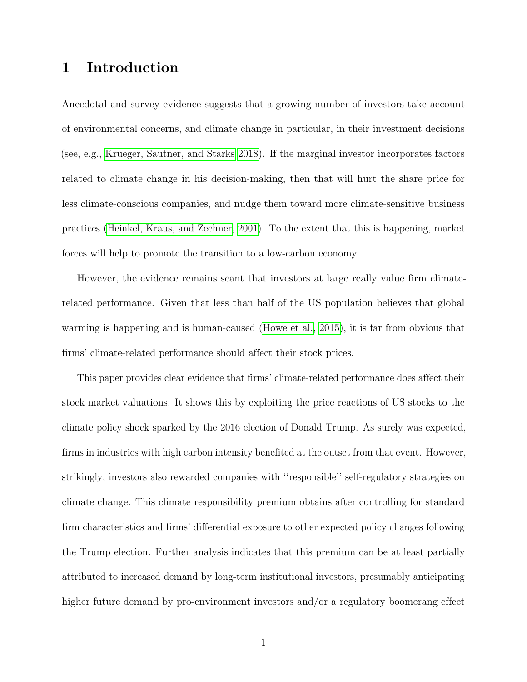# 1 Introduction

Anecdotal and survey evidence suggests that a growing number of investors take account of environmental concerns, and climate change in particular, in their investment decisions (see, e.g., [Krueger, Sautner, and Starks 2018\)](#page-53-0). If the marginal investor incorporates factors related to climate change in his decision-making, then that will hurt the share price for less climate-conscious companies, and nudge them toward more climate-sensitive business practices [\(Heinkel, Kraus, and Zechner, 2001\)](#page-52-0). To the extent that this is happening, market forces will help to promote the transition to a low-carbon economy.

However, the evidence remains scant that investors at large really value firm climaterelated performance. Given that less than half of the US population believes that global warming is happening and is human-caused [\(Howe et al., 2015\)](#page-52-1), it is far from obvious that firms' climate-related performance should affect their stock prices.

This paper provides clear evidence that firms' climate-related performance does affect their stock market valuations. It shows this by exploiting the price reactions of US stocks to the climate policy shock sparked by the 2016 election of Donald Trump. As surely was expected, firms in industries with high carbon intensity benefited at the outset from that event. However, strikingly, investors also rewarded companies with ''responsible'' self-regulatory strategies on climate change. This climate responsibility premium obtains after controlling for standard firm characteristics and firms' differential exposure to other expected policy changes following the Trump election. Further analysis indicates that this premium can be at least partially attributed to increased demand by long-term institutional investors, presumably anticipating higher future demand by pro-environment investors and/or a regulatory boomerang effect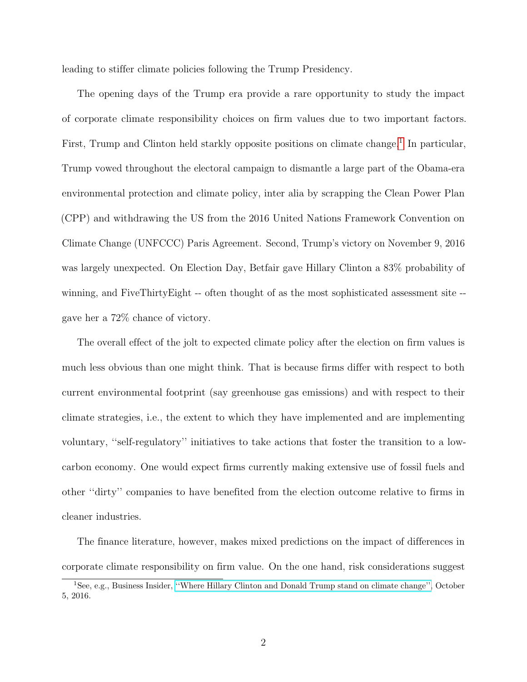leading to stiffer climate policies following the Trump Presidency.

The opening days of the Trump era provide a rare opportunity to study the impact of corporate climate responsibility choices on firm values due to two important factors. First, Trump and Clinton held starkly opposite positions on climate change.<sup>[1](#page-3-0)</sup> In particular, Trump vowed throughout the electoral campaign to dismantle a large part of the Obama-era environmental protection and climate policy, inter alia by scrapping the Clean Power Plan (CPP) and withdrawing the US from the 2016 United Nations Framework Convention on Climate Change (UNFCCC) Paris Agreement. Second, Trump's victory on November 9, 2016 was largely unexpected. On Election Day, Betfair gave Hillary Clinton a 83% probability of winning, and FiveThirtyEight -- often thought of as the most sophisticated assessment site - gave her a 72% chance of victory.

The overall effect of the jolt to expected climate policy after the election on firm values is much less obvious than one might think. That is because firms differ with respect to both current environmental footprint (say greenhouse gas emissions) and with respect to their climate strategies, i.e., the extent to which they have implemented and are implementing voluntary, ''self-regulatory'' initiatives to take actions that foster the transition to a lowcarbon economy. One would expect firms currently making extensive use of fossil fuels and other ''dirty'' companies to have benefited from the election outcome relative to firms in cleaner industries.

The finance literature, however, makes mixed predictions on the impact of differences in corporate climate responsibility on firm value. On the one hand, risk considerations suggest

<span id="page-3-0"></span><sup>1</sup>See, e.g., Business Insider, [''Where Hillary Clinton and Donald Trump stand on climate change'',](http://uk.businessinsider.com/clinton-trump-environment-policies-plans-climate-change-platforms-2016-9?r=US&IR=T) October 5, 2016.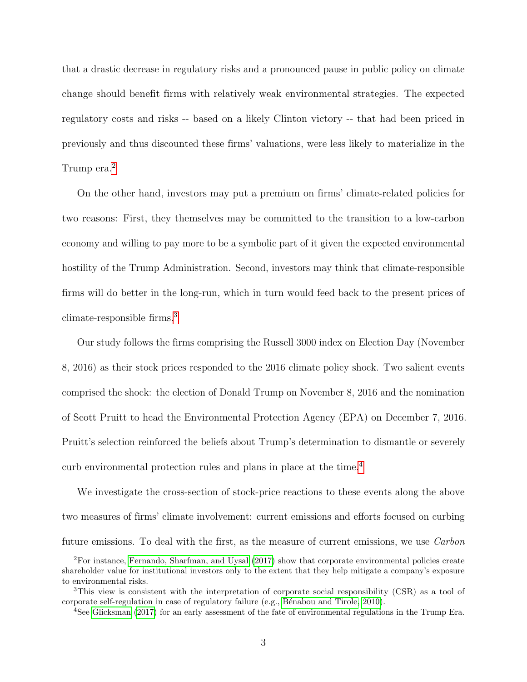that a drastic decrease in regulatory risks and a pronounced pause in public policy on climate change should benefit firms with relatively weak environmental strategies. The expected regulatory costs and risks -- based on a likely Clinton victory -- that had been priced in previously and thus discounted these firms' valuations, were less likely to materialize in the Trump era.<sup>[2](#page-4-0)</sup>

On the other hand, investors may put a premium on firms' climate-related policies for two reasons: First, they themselves may be committed to the transition to a low-carbon economy and willing to pay more to be a symbolic part of it given the expected environmental hostility of the Trump Administration. Second, investors may think that climate-responsible firms will do better in the long-run, which in turn would feed back to the present prices of climate-responsible firms.[3](#page-4-1)

Our study follows the firms comprising the Russell 3000 index on Election Day (November 8, 2016) as their stock prices responded to the 2016 climate policy shock. Two salient events comprised the shock: the election of Donald Trump on November 8, 2016 and the nomination of Scott Pruitt to head the Environmental Protection Agency (EPA) on December 7, 2016. Pruitt's selection reinforced the beliefs about Trump's determination to dismantle or severely curb environmental protection rules and plans in place at the time.[4](#page-4-2)

We investigate the cross-section of stock-price reactions to these events along the above two measures of firms' climate involvement: current emissions and efforts focused on curbing future emissions. To deal with the first, as the measure of current emissions, we use Carbon

<span id="page-4-0"></span><sup>2</sup>For instance, [Fernando, Sharfman, and Uysal](#page-51-0) [\(2017\)](#page-51-0) show that corporate environmental policies create shareholder value for institutional investors only to the extent that they help mitigate a company's exposure to environmental risks.

<span id="page-4-1"></span><sup>&</sup>lt;sup>3</sup>This view is consistent with the interpretation of corporate social responsibility (CSR) as a tool of corporate self-regulation in case of regulatory failure (e.g., Bénabou and Tirole, 2010).

<span id="page-4-2"></span><sup>4</sup>See [Glicksman](#page-52-2) [\(2017\)](#page-52-2) for an early assessment of the fate of environmental regulations in the Trump Era.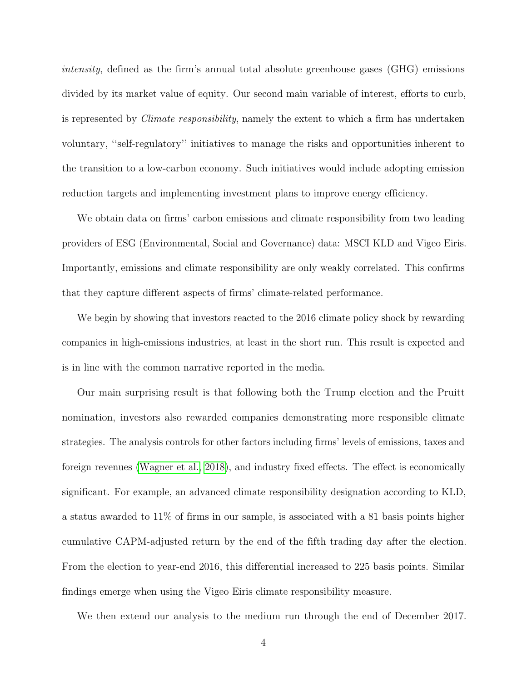intensity, defined as the firm's annual total absolute greenhouse gases (GHG) emissions divided by its market value of equity. Our second main variable of interest, efforts to curb, is represented by Climate responsibility, namely the extent to which a firm has undertaken voluntary, ''self-regulatory'' initiatives to manage the risks and opportunities inherent to the transition to a low-carbon economy. Such initiatives would include adopting emission reduction targets and implementing investment plans to improve energy efficiency.

We obtain data on firms' carbon emissions and climate responsibility from two leading providers of ESG (Environmental, Social and Governance) data: MSCI KLD and Vigeo Eiris. Importantly, emissions and climate responsibility are only weakly correlated. This confirms that they capture different aspects of firms' climate-related performance.

We begin by showing that investors reacted to the 2016 climate policy shock by rewarding companies in high-emissions industries, at least in the short run. This result is expected and is in line with the common narrative reported in the media.

Our main surprising result is that following both the Trump election and the Pruitt nomination, investors also rewarded companies demonstrating more responsible climate strategies. The analysis controls for other factors including firms' levels of emissions, taxes and foreign revenues [\(Wagner et al., 2018\)](#page-53-1), and industry fixed effects. The effect is economically significant. For example, an advanced climate responsibility designation according to KLD, a status awarded to 11% of firms in our sample, is associated with a 81 basis points higher cumulative CAPM-adjusted return by the end of the fifth trading day after the election. From the election to year-end 2016, this differential increased to 225 basis points. Similar findings emerge when using the Vigeo Eiris climate responsibility measure.

We then extend our analysis to the medium run through the end of December 2017.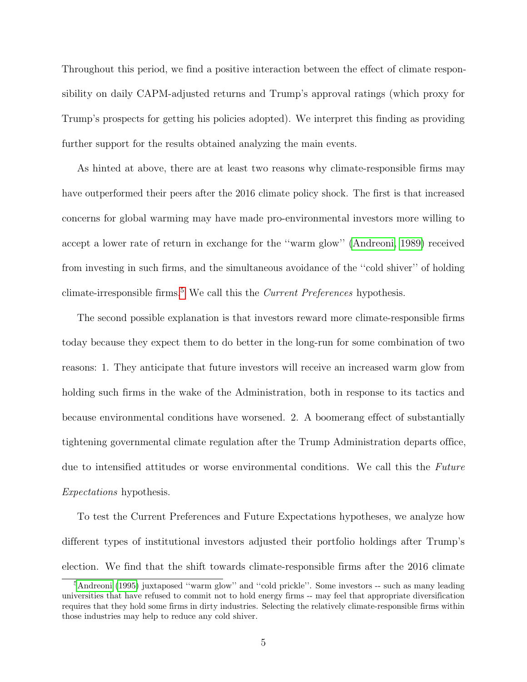Throughout this period, we find a positive interaction between the effect of climate responsibility on daily CAPM-adjusted returns and Trump's approval ratings (which proxy for Trump's prospects for getting his policies adopted). We interpret this finding as providing further support for the results obtained analyzing the main events.

As hinted at above, there are at least two reasons why climate-responsible firms may have outperformed their peers after the 2016 climate policy shock. The first is that increased concerns for global warming may have made pro-environmental investors more willing to accept a lower rate of return in exchange for the ''warm glow'' [\(Andreoni, 1989\)](#page-50-1) received from investing in such firms, and the simultaneous avoidance of the ''cold shiver'' of holding climate-irresponsible firms.<sup>[5](#page-6-0)</sup> We call this the *Current Preferences* hypothesis.

The second possible explanation is that investors reward more climate-responsible firms today because they expect them to do better in the long-run for some combination of two reasons: 1. They anticipate that future investors will receive an increased warm glow from holding such firms in the wake of the Administration, both in response to its tactics and because environmental conditions have worsened. 2. A boomerang effect of substantially tightening governmental climate regulation after the Trump Administration departs office, due to intensified attitudes or worse environmental conditions. We call this the Future Expectations hypothesis.

To test the Current Preferences and Future Expectations hypotheses, we analyze how different types of institutional investors adjusted their portfolio holdings after Trump's election. We find that the shift towards climate-responsible firms after the 2016 climate

<span id="page-6-0"></span><sup>&</sup>lt;sup>5</sup>[Andreoni](#page-50-2) [\(1995\)](#page-50-2) juxtaposed "warm glow" and "cold prickle". Some investors -- such as many leading universities that have refused to commit not to hold energy firms -- may feel that appropriate diversification requires that they hold some firms in dirty industries. Selecting the relatively climate-responsible firms within those industries may help to reduce any cold shiver.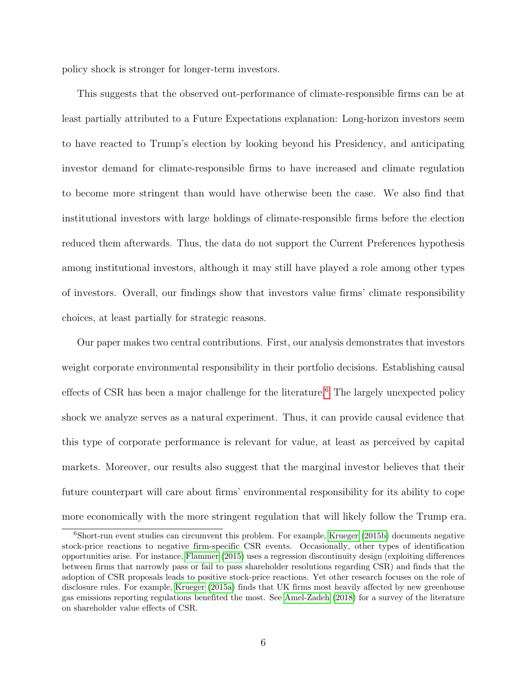policy shock is stronger for longer-term investors.

This suggests that the observed out-performance of climate-responsible firms can be at least partially attributed to a Future Expectations explanation: Long-horizon investors seem to have reacted to Trump's election by looking beyond his Presidency, and anticipating investor demand for climate-responsible firms to have increased and climate regulation to become more stringent than would have otherwise been the case. We also find that institutional investors with large holdings of climate-responsible firms before the election reduced them afterwards. Thus, the data do not support the Current Preferences hypothesis among institutional investors, although it may still have played a role among other types of investors. Overall, our findings show that investors value firms' climate responsibility choices, at least partially for strategic reasons.

Our paper makes two central contributions. First, our analysis demonstrates that investors weight corporate environmental responsibility in their portfolio decisions. Establishing causal effects of CSR has been a major challenge for the literature.<sup>[6](#page-7-0)</sup> The largely unexpected policy shock we analyze serves as a natural experiment. Thus, it can provide causal evidence that this type of corporate performance is relevant for value, at least as perceived by capital markets. Moreover, our results also suggest that the marginal investor believes that their future counterpart will care about firms' environmental responsibility for its ability to cope more economically with the more stringent regulation that will likely follow the Trump era.

<span id="page-7-0"></span><sup>6</sup>Short-run event studies can circumvent this problem. For example, [Krueger](#page-53-2) [\(2015b\)](#page-53-2) documents negative stock-price reactions to negative firm-specific CSR events. Occasionally, other types of identification opportunities arise. For instance, [Flammer](#page-51-1) [\(2015\)](#page-51-1) uses a regression discontinuity design (exploiting differences between firms that narrowly pass or fail to pass shareholder resolutions regarding CSR) and finds that the adoption of CSR proposals leads to positive stock-price reactions. Yet other research focuses on the role of disclosure rules. For example, [Krueger](#page-53-3) [\(2015a\)](#page-53-3) finds that UK firms most heavily affected by new greenhouse gas emissions reporting regulations benefited the most. See [Amel-Zadeh](#page-50-3) [\(2018\)](#page-50-3) for a survey of the literature on shareholder value effects of CSR.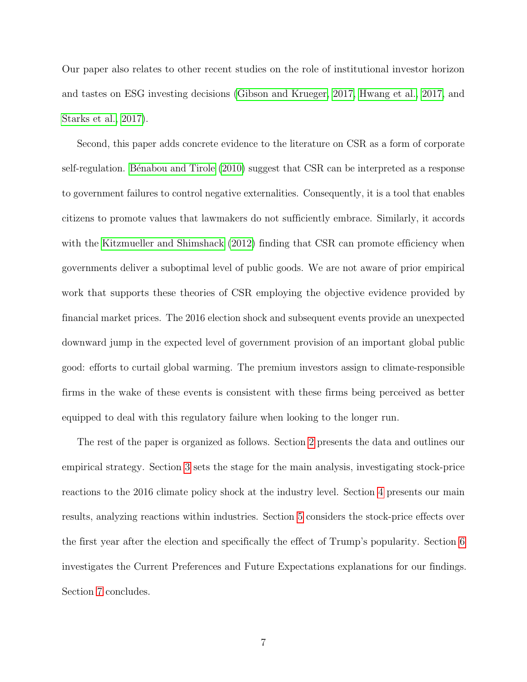Our paper also relates to other recent studies on the role of institutional investor horizon and tastes on ESG investing decisions [\(Gibson and Krueger, 2017,](#page-52-3) [Hwang et al., 2017,](#page-52-4) and [Starks et al., 2017\)](#page-53-4).

Second, this paper adds concrete evidence to the literature on CSR as a form of corporate self-regulation. Bénabou and Tirole [\(2010\)](#page-50-0) suggest that CSR can be interpreted as a response to government failures to control negative externalities. Consequently, it is a tool that enables citizens to promote values that lawmakers do not sufficiently embrace. Similarly, it accords with the [Kitzmueller and Shimshack](#page-53-5) [\(2012\)](#page-53-5) finding that CSR can promote efficiency when governments deliver a suboptimal level of public goods. We are not aware of prior empirical work that supports these theories of CSR employing the objective evidence provided by financial market prices. The 2016 election shock and subsequent events provide an unexpected downward jump in the expected level of government provision of an important global public good: efforts to curtail global warming. The premium investors assign to climate-responsible firms in the wake of these events is consistent with these firms being perceived as better equipped to deal with this regulatory failure when looking to the longer run.

The rest of the paper is organized as follows. Section [2](#page-9-0) presents the data and outlines our empirical strategy. Section [3](#page-23-0) sets the stage for the main analysis, investigating stock-price reactions to the 2016 climate policy shock at the industry level. Section [4](#page-26-0) presents our main results, analyzing reactions within industries. Section [5](#page-36-0) considers the stock-price effects over the first year after the election and specifically the effect of Trump's popularity. Section [6](#page-38-0) investigates the Current Preferences and Future Expectations explanations for our findings. Section [7](#page-47-0) concludes.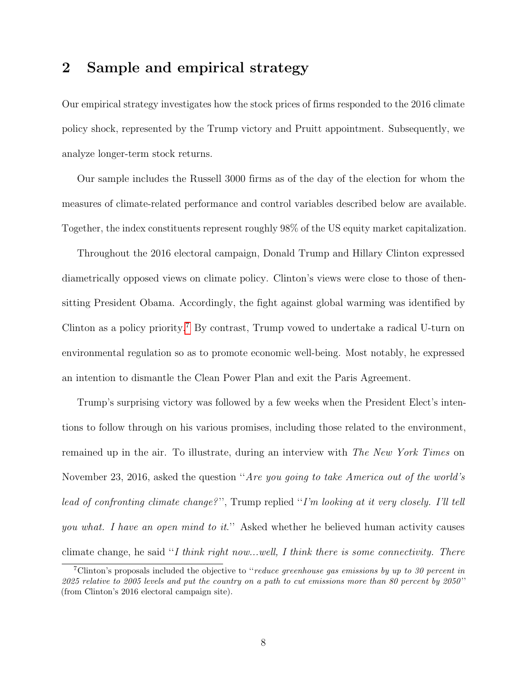# <span id="page-9-0"></span>2 Sample and empirical strategy

Our empirical strategy investigates how the stock prices of firms responded to the 2016 climate policy shock, represented by the Trump victory and Pruitt appointment. Subsequently, we analyze longer-term stock returns.

Our sample includes the Russell 3000 firms as of the day of the election for whom the measures of climate-related performance and control variables described below are available. Together, the index constituents represent roughly 98% of the US equity market capitalization.

Throughout the 2016 electoral campaign, Donald Trump and Hillary Clinton expressed diametrically opposed views on climate policy. Clinton's views were close to those of thensitting President Obama. Accordingly, the fight against global warming was identified by Clinton as a policy priority.[7](#page-9-1) By contrast, Trump vowed to undertake a radical U-turn on environmental regulation so as to promote economic well-being. Most notably, he expressed an intention to dismantle the Clean Power Plan and exit the Paris Agreement.

Trump's surprising victory was followed by a few weeks when the President Elect's intentions to follow through on his various promises, including those related to the environment, remained up in the air. To illustrate, during an interview with The New York Times on November 23, 2016, asked the question "Are you going to take America out of the world's lead of confronting climate change?", Trump replied "I'm looking at it very closely. I'll tell you what. I have an open mind to it." Asked whether he believed human activity causes climate change, he said "I think right now...well, I think there is some connectivity. There

<span id="page-9-1"></span><sup>&</sup>lt;sup>7</sup>Clinton's proposals included the objective to "reduce greenhouse gas emissions by up to 30 percent in  $2025$  relative to 2005 levels and put the country on a path to cut emissions more than 80 percent by 2050" (from Clinton's 2016 electoral campaign site).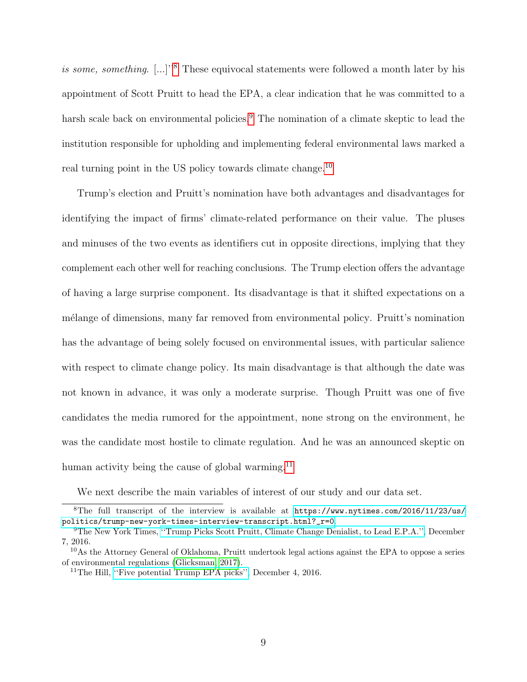is some, something.  $[\ldots]^{1/8}$  $[\ldots]^{1/8}$  $[\ldots]^{1/8}$  These equivocal statements were followed a month later by his appointment of Scott Pruitt to head the EPA, a clear indication that he was committed to a harsh scale back on environmental policies.<sup>[9](#page-10-1)</sup> The nomination of a climate skeptic to lead the institution responsible for upholding and implementing federal environmental laws marked a real turning point in the US policy towards climate change.<sup>[10](#page-10-2)</sup>

Trump's election and Pruitt's nomination have both advantages and disadvantages for identifying the impact of firms' climate-related performance on their value. The pluses and minuses of the two events as identifiers cut in opposite directions, implying that they complement each other well for reaching conclusions. The Trump election offers the advantage of having a large surprise component. Its disadvantage is that it shifted expectations on a mélange of dimensions, many far removed from environmental policy. Pruitt's nomination has the advantage of being solely focused on environmental issues, with particular salience with respect to climate change policy. Its main disadvantage is that although the date was not known in advance, it was only a moderate surprise. Though Pruitt was one of five candidates the media rumored for the appointment, none strong on the environment, he was the candidate most hostile to climate regulation. And he was an announced skeptic on human activity being the cause of global warming. $^{11}$  $^{11}$  $^{11}$ 

<span id="page-10-0"></span>We next describe the main variables of interest of our study and our data set.

<sup>&</sup>lt;sup>8</sup>The full transcript of the interview is available at  $https://www.nytimes.com/2016/11/23/us/$ [politics/trump-new-york-times-interview-transcript.html?\\_r=0](https://www.nytimes.com/2016/11/23/us/politics/trump-new-york-times-interview-transcript.html?_r=0).

<span id="page-10-1"></span><sup>9</sup>The New York Times, [''Trump Picks Scott Pruitt, Climate Change Denialist, to Lead E.P.A.'',](https://www.nytimes.com/2016/12/07/us/politics/scott-pruitt-epa-trump.html) December 7, 2016.

<span id="page-10-2"></span><sup>10</sup>As the Attorney General of Oklahoma, Pruitt undertook legal actions against the EPA to oppose a series of environmental regulations [\(Glicksman, 2017\)](#page-52-2).

<span id="page-10-3"></span><sup>11</sup>The Hill, [''Five potential Trump EPA picks'',](http://thehill.com/policy/energy-environment/308601-five-potential-trump-epa-picks) December 4, 2016.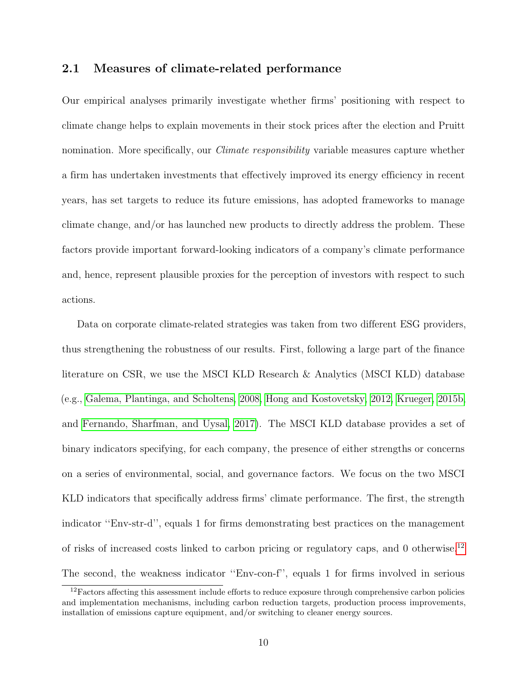### 2.1 Measures of climate-related performance

Our empirical analyses primarily investigate whether firms' positioning with respect to climate change helps to explain movements in their stock prices after the election and Pruitt nomination. More specifically, our *Climate responsibility* variable measures capture whether a firm has undertaken investments that effectively improved its energy efficiency in recent years, has set targets to reduce its future emissions, has adopted frameworks to manage climate change, and/or has launched new products to directly address the problem. These factors provide important forward-looking indicators of a company's climate performance and, hence, represent plausible proxies for the perception of investors with respect to such actions.

Data on corporate climate-related strategies was taken from two different ESG providers, thus strengthening the robustness of our results. First, following a large part of the finance literature on CSR, we use the MSCI KLD Research & Analytics (MSCI KLD) database (e.g., [Galema, Plantinga, and Scholtens, 2008,](#page-51-2) [Hong and Kostovetsky, 2012,](#page-52-5) [Krueger, 2015b,](#page-53-2) and [Fernando, Sharfman, and Uysal, 2017\)](#page-51-0). The MSCI KLD database provides a set of binary indicators specifying, for each company, the presence of either strengths or concerns on a series of environmental, social, and governance factors. We focus on the two MSCI KLD indicators that specifically address firms' climate performance. The first, the strength indicator ''Env-str-d'', equals 1 for firms demonstrating best practices on the management of risks of increased costs linked to carbon pricing or regulatory caps, and 0 otherwise.[12](#page-11-0) The second, the weakness indicator ''Env-con-f'', equals 1 for firms involved in serious

<span id="page-11-0"></span><sup>&</sup>lt;sup>12</sup>Factors affecting this assessment include efforts to reduce exposure through comprehensive carbon policies and implementation mechanisms, including carbon reduction targets, production process improvements, installation of emissions capture equipment, and/or switching to cleaner energy sources.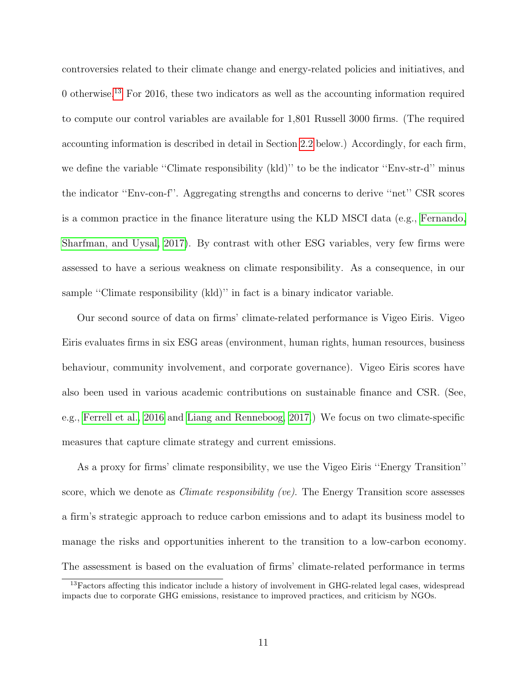controversies related to their climate change and energy-related policies and initiatives, and 0 otherwise.<sup>[13](#page-12-0)</sup> For 2016, these two indicators as well as the accounting information required to compute our control variables are available for 1,801 Russell 3000 firms. (The required accounting information is described in detail in Section [2.2](#page-17-0) below.) Accordingly, for each firm, we define the variable "Climate responsibility (kld)" to be the indicator "Env-str-d" minus the indicator ''Env-con-f''. Aggregating strengths and concerns to derive ''net'' CSR scores is a common practice in the finance literature using the KLD MSCI data (e.g., [Fernando,](#page-51-0) [Sharfman, and Uysal, 2017\)](#page-51-0). By contrast with other ESG variables, very few firms were assessed to have a serious weakness on climate responsibility. As a consequence, in our sample ''Climate responsibility (kld)'' in fact is a binary indicator variable.

Our second source of data on firms' climate-related performance is Vigeo Eiris. Vigeo Eiris evaluates firms in six ESG areas (environment, human rights, human resources, business behaviour, community involvement, and corporate governance). Vigeo Eiris scores have also been used in various academic contributions on sustainable finance and CSR. (See, e.g., [Ferrell et al., 2016](#page-51-3) and [Liang and Renneboog, 2017.](#page-53-6)) We focus on two climate-specific measures that capture climate strategy and current emissions.

As a proxy for firms' climate responsibility, we use the Vigeo Eiris ''Energy Transition'' score, which we denote as *Climate responsibility (ve)*. The Energy Transition score assesses a firm's strategic approach to reduce carbon emissions and to adapt its business model to manage the risks and opportunities inherent to the transition to a low-carbon economy. The assessment is based on the evaluation of firms' climate-related performance in terms

<span id="page-12-0"></span><sup>&</sup>lt;sup>13</sup>Factors affecting this indicator include a history of involvement in GHG-related legal cases, widespread impacts due to corporate GHG emissions, resistance to improved practices, and criticism by NGOs.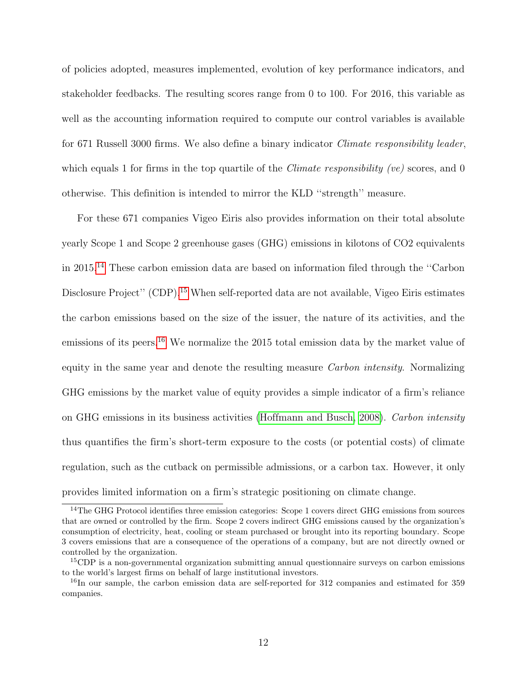of policies adopted, measures implemented, evolution of key performance indicators, and stakeholder feedbacks. The resulting scores range from 0 to 100. For 2016, this variable as well as the accounting information required to compute our control variables is available for 671 Russell 3000 firms. We also define a binary indicator Climate responsibility leader, which equals 1 for firms in the top quartile of the *Climate responsibility (ve)* scores, and 0 otherwise. This definition is intended to mirror the KLD ''strength'' measure.

For these 671 companies Vigeo Eiris also provides information on their total absolute yearly Scope 1 and Scope 2 greenhouse gases (GHG) emissions in kilotons of CO2 equivalents in 2015.[14](#page-13-0) These carbon emission data are based on information filed through the ''Carbon Disclosure Project" (CDP).<sup>[15](#page-13-1)</sup> When self-reported data are not available, Vigeo Eiris estimates the carbon emissions based on the size of the issuer, the nature of its activities, and the emissions of its peers.<sup>[16](#page-13-2)</sup> We normalize the 2015 total emission data by the market value of equity in the same year and denote the resulting measure *Carbon intensity*. Normalizing GHG emissions by the market value of equity provides a simple indicator of a firm's reliance on GHG emissions in its business activities [\(Hoffmann and Busch, 2008\)](#page-52-6). Carbon intensity thus quantifies the firm's short-term exposure to the costs (or potential costs) of climate regulation, such as the cutback on permissible admissions, or a carbon tax. However, it only provides limited information on a firm's strategic positioning on climate change.

<span id="page-13-0"></span><sup>&</sup>lt;sup>14</sup>The GHG Protocol identifies three emission categories: Scope 1 covers direct GHG emissions from sources that are owned or controlled by the firm. Scope 2 covers indirect GHG emissions caused by the organization's consumption of electricity, heat, cooling or steam purchased or brought into its reporting boundary. Scope 3 covers emissions that are a consequence of the operations of a company, but are not directly owned or controlled by the organization.

<span id="page-13-1"></span><sup>&</sup>lt;sup>15</sup>CDP is a non-governmental organization submitting annual questionnaire surveys on carbon emissions to the world's largest firms on behalf of large institutional investors.

<span id="page-13-2"></span><sup>&</sup>lt;sup>16</sup>In our sample, the carbon emission data are self-reported for 312 companies and estimated for 359 companies.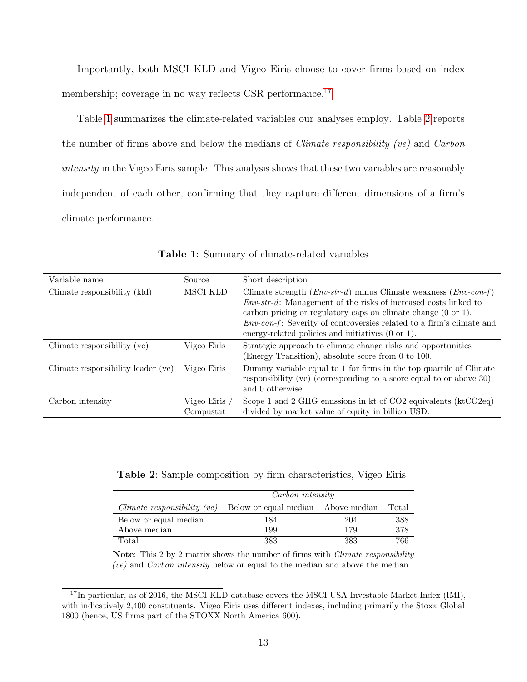Importantly, both MSCI KLD and Vigeo Eiris choose to cover firms based on index membership; coverage in no way reflects CSR performance.<sup>[17](#page-14-0)</sup>

Table [1](#page-14-1) summarizes the climate-related variables our analyses employ. Table [2](#page-14-2) reports the number of firms above and below the medians of Climate responsibility (ve) and Carbon intensity in the Vigeo Eiris sample. This analysis shows that these two variables are reasonably independent of each other, confirming that they capture different dimensions of a firm's climate performance.

<span id="page-14-1"></span>

| Variable name                      | Source                   | Short description                                                                                                                                                                                                                                                                                                                                                      |
|------------------------------------|--------------------------|------------------------------------------------------------------------------------------------------------------------------------------------------------------------------------------------------------------------------------------------------------------------------------------------------------------------------------------------------------------------|
| Climate responsibility (kld)       | MSCI KLD                 | Climate strength $(Env-str-d)$ minus Climate weakness $(Env-con-f)$<br>$Env-str-d$ : Management of the risks of increased costs linked to<br>carbon pricing or regulatory caps on climate change $(0 \text{ or } 1)$ .<br><i>Env-con-f:</i> Severity of controversies related to a firm's climate and<br>energy-related policies and initiatives $(0 \text{ or } 1)$ . |
| Climate responsibility (ve)        | Vigeo Eiris              | Strategic approach to climate change risks and opportunities<br>(Energy Transition), absolute score from 0 to 100.                                                                                                                                                                                                                                                     |
| Climate responsibility leader (ve) | Vigeo Eiris              | Dummy variable equal to 1 for firms in the top quartile of Climate<br>responsibility (ve) (corresponding to a score equal to or above $30$ ),<br>and 0 otherwise.                                                                                                                                                                                                      |
| Carbon intensity                   | Vigeo Eiris<br>Compustat | Scope 1 and 2 GHG emissions in kt of $CO2$ equivalents (kt $CO2$ eq)<br>divided by market value of equity in billion USD.                                                                                                                                                                                                                                              |

Table 1: Summary of climate-related variables

<span id="page-14-2"></span>Table 2: Sample composition by firm characteristics, Vigeo Eiris

|                               | Carbon intensity                   |     |       |  |  |  |  |  |  |
|-------------------------------|------------------------------------|-----|-------|--|--|--|--|--|--|
| $Climate$ responsibility (ve) | Below or equal median Above median |     | Total |  |  |  |  |  |  |
| Below or equal median         | 184                                | 204 | 388   |  |  |  |  |  |  |
| Above median                  | 199                                | 179 | 378   |  |  |  |  |  |  |
| Total                         | 383                                | 383 | 766   |  |  |  |  |  |  |

Note: This 2 by 2 matrix shows the number of firms with *Climate responsibility* (ve) and Carbon intensity below or equal to the median and above the median.

<span id="page-14-0"></span><sup>&</sup>lt;sup>17</sup>In particular, as of 2016, the MSCI KLD database covers the MSCI USA Investable Market Index (IMI), with indicatively 2,400 constituents. Vigeo Eiris uses different indexes, including primarily the Stoxx Global 1800 (hence, US firms part of the STOXX North America 600).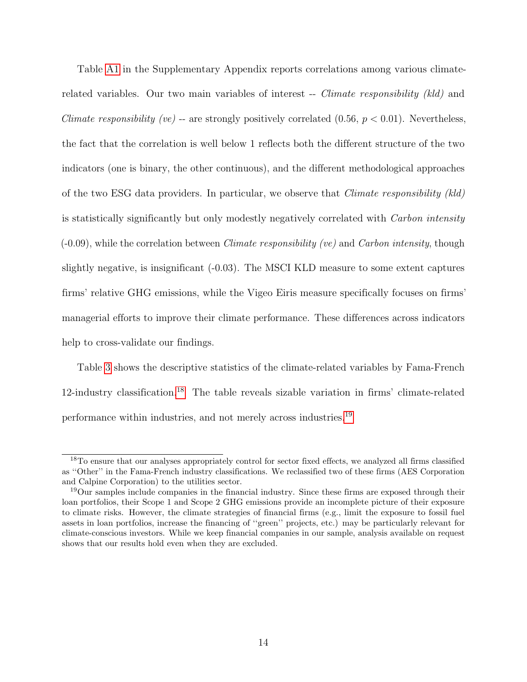Table [A1](#page-54-0) in the Supplementary Appendix reports correlations among various climaterelated variables. Our two main variables of interest -- *Climate responsibility (kld)* and *Climate responsibility (ve)* -- are strongly positively correlated  $(0.56, p < 0.01)$ . Nevertheless, the fact that the correlation is well below 1 reflects both the different structure of the two indicators (one is binary, the other continuous), and the different methodological approaches of the two ESG data providers. In particular, we observe that Climate responsibility (kld) is statistically significantly but only modestly negatively correlated with Carbon intensity  $(-0.09)$ , while the correlation between *Climate responsibility (ve)* and *Carbon intensity*, though slightly negative, is insignificant (-0.03). The MSCI KLD measure to some extent captures firms' relative GHG emissions, while the Vigeo Eiris measure specifically focuses on firms' managerial efforts to improve their climate performance. These differences across indicators help to cross-validate our findings.

Table [3](#page-16-0) shows the descriptive statistics of the climate-related variables by Fama-French 12-industry classification.[18](#page-15-0) The table reveals sizable variation in firms' climate-related performance within industries, and not merely across industries.[19](#page-15-1)

<span id="page-15-0"></span><sup>&</sup>lt;sup>18</sup>To ensure that our analyses appropriately control for sector fixed effects, we analyzed all firms classified as ''Other'' in the Fama-French industry classifications. We reclassified two of these firms (AES Corporation and Calpine Corporation) to the utilities sector.

<span id="page-15-1"></span><sup>19</sup>Our samples include companies in the financial industry. Since these firms are exposed through their loan portfolios, their Scope 1 and Scope 2 GHG emissions provide an incomplete picture of their exposure to climate risks. However, the climate strategies of financial firms (e.g., limit the exposure to fossil fuel assets in loan portfolios, increase the financing of ''green'' projects, etc.) may be particularly relevant for climate-conscious investors. While we keep financial companies in our sample, analysis available on request shows that our results hold even when they are excluded.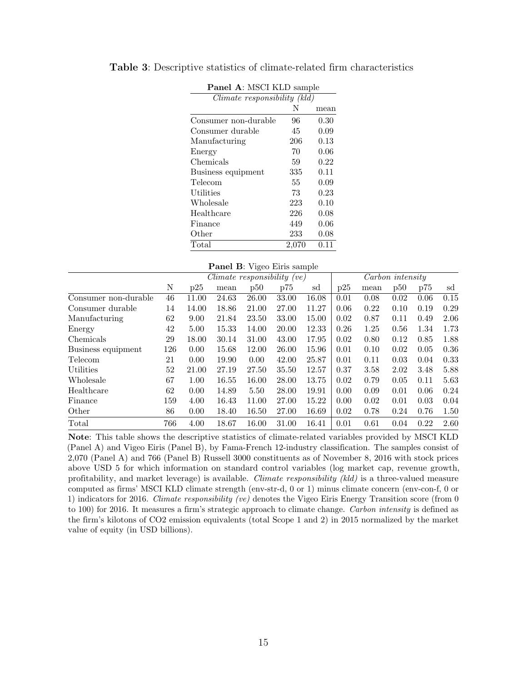| Panel A: MSCI KLD sample     |       |      |  |  |  |  |  |  |  |
|------------------------------|-------|------|--|--|--|--|--|--|--|
| Climate responsibility (kld) |       |      |  |  |  |  |  |  |  |
|                              | N     | mean |  |  |  |  |  |  |  |
| Consumer non-durable         | 96    | 0.30 |  |  |  |  |  |  |  |
| Consumer durable             | 45    | 0.09 |  |  |  |  |  |  |  |
| Manufacturing                | 206   | 0.13 |  |  |  |  |  |  |  |
| Energy                       | 70    | 0.06 |  |  |  |  |  |  |  |
| Chemicals                    | 59    | 0.22 |  |  |  |  |  |  |  |
| Business equipment           | 335   | 0.11 |  |  |  |  |  |  |  |
| Telecom                      | 55    | 0.09 |  |  |  |  |  |  |  |
| Utilities                    | 73    | 0.23 |  |  |  |  |  |  |  |
| Wholesale                    | 223   | 0.10 |  |  |  |  |  |  |  |
| Healthcare                   | 226   | 0.08 |  |  |  |  |  |  |  |
| Finance                      | 449   | 0.06 |  |  |  |  |  |  |  |
| Other                        | 233   | 0.08 |  |  |  |  |  |  |  |
| Total                        | 2,070 | 0.11 |  |  |  |  |  |  |  |

<span id="page-16-0"></span>Table 3: Descriptive statistics of climate-related firm characteristics

|  |  |  |  | Panel B: Vigeo Eiris sample |
|--|--|--|--|-----------------------------|
|--|--|--|--|-----------------------------|

|                      |     |       | Climate responsibility (ve) |       |       |       |      | Carbon intensity |      |      |      |
|----------------------|-----|-------|-----------------------------|-------|-------|-------|------|------------------|------|------|------|
|                      | N   | p25   | mean                        | p50   | p75   | sd    | p25  | mean             | p50  | p75  | sd   |
| Consumer non-durable | 46  | 11.00 | 24.63                       | 26.00 | 33.00 | 16.08 | 0.01 | 0.08             | 0.02 | 0.06 | 0.15 |
| Consumer durable     | 14  | 14.00 | 18.86                       | 21.00 | 27.00 | 11.27 | 0.06 | 0.22             | 0.10 | 0.19 | 0.29 |
| Manufacturing        | 62  | 9.00  | 21.84                       | 23.50 | 33.00 | 15.00 | 0.02 | 0.87             | 0.11 | 0.49 | 2.06 |
| Energy               | 42  | 5.00  | 15.33                       | 14.00 | 20.00 | 12.33 | 0.26 | 1.25             | 0.56 | 1.34 | 1.73 |
| Chemicals            | 29  | 18.00 | 30.14                       | 31.00 | 43.00 | 17.95 | 0.02 | 0.80             | 0.12 | 0.85 | 1.88 |
| Business equipment   | 126 | 0.00  | 15.68                       | 12.00 | 26.00 | 15.96 | 0.01 | 0.10             | 0.02 | 0.05 | 0.36 |
| Telecom              | 21  | 0.00  | 19.90                       | 0.00  | 42.00 | 25.87 | 0.01 | 0.11             | 0.03 | 0.04 | 0.33 |
| Utilities            | 52  | 21.00 | 27.19                       | 27.50 | 35.50 | 12.57 | 0.37 | 3.58             | 2.02 | 3.48 | 5.88 |
| Wholesale            | 67  | 1.00  | 16.55                       | 16.00 | 28.00 | 13.75 | 0.02 | 0.79             | 0.05 | 0.11 | 5.63 |
| Healthcare           | 62  | 0.00  | 14.89                       | 5.50  | 28.00 | 19.91 | 0.00 | 0.09             | 0.01 | 0.06 | 0.24 |
| Finance              | 159 | 4.00  | 16.43                       | 11.00 | 27.00 | 15.22 | 0.00 | 0.02             | 0.01 | 0.03 | 0.04 |
| Other                | 86  | 0.00  | 18.40                       | 16.50 | 27.00 | 16.69 | 0.02 | 0.78             | 0.24 | 0.76 | 1.50 |
| Total                | 766 | 4.00  | 18.67                       | 16.00 | 31.00 | 16.41 | 0.01 | 0.61             | 0.04 | 0.22 | 2.60 |

Note: This table shows the descriptive statistics of climate-related variables provided by MSCI KLD (Panel A) and Vigeo Eiris (Panel B), by Fama-French 12-industry classification. The samples consist of 2,070 (Panel A) and 766 (Panel B) Russell 3000 constituents as of November 8, 2016 with stock prices above USD 5 for which information on standard control variables (log market cap, revenue growth, profitability, and market leverage) is available. Climate responsibility (kld) is a three-valued measure computed as firms' MSCI KLD climate strength (env-str-d, 0 or 1) minus climate concern (env-con-f, 0 or 1) indicators for 2016. Climate responsibility (ve) denotes the Vigeo Eiris Energy Transition score (from 0 to 100) for 2016. It measures a firm's strategic approach to climate change. Carbon intensity is defined as the firm's kilotons of CO2 emission equivalents (total Scope 1 and 2) in 2015 normalized by the market value of equity (in USD billions).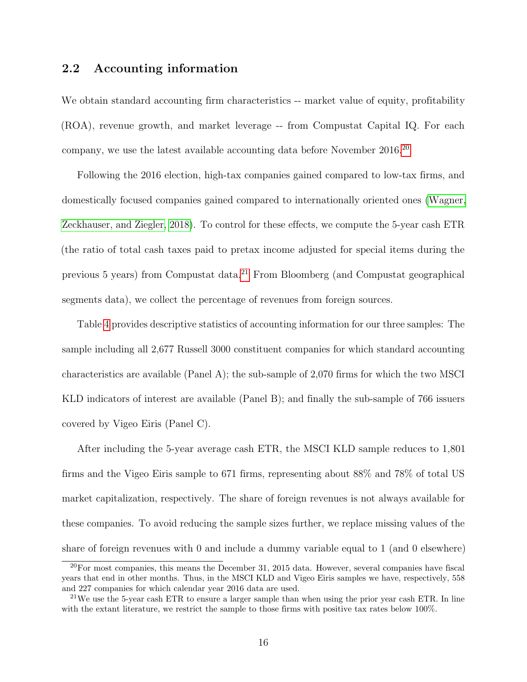## <span id="page-17-0"></span>2.2 Accounting information

We obtain standard accounting firm characteristics -- market value of equity, profitability (ROA), revenue growth, and market leverage -- from Compustat Capital IQ. For each company, we use the latest available accounting data before November [20](#page-17-1)16.<sup>20</sup>

Following the 2016 election, high-tax companies gained compared to low-tax firms, and domestically focused companies gained compared to internationally oriented ones [\(Wagner,](#page-53-1) [Zeckhauser, and Ziegler, 2018\)](#page-53-1). To control for these effects, we compute the 5-year cash ETR (the ratio of total cash taxes paid to pretax income adjusted for special items during the previous 5 years) from Compustat data.<sup>[21](#page-17-2)</sup> From Bloomberg (and Compustat geographical segments data), we collect the percentage of revenues from foreign sources.

Table [4](#page-18-0) provides descriptive statistics of accounting information for our three samples: The sample including all 2,677 Russell 3000 constituent companies for which standard accounting characteristics are available (Panel A); the sub-sample of 2,070 firms for which the two MSCI KLD indicators of interest are available (Panel B); and finally the sub-sample of 766 issuers covered by Vigeo Eiris (Panel C).

After including the 5-year average cash ETR, the MSCI KLD sample reduces to 1,801 firms and the Vigeo Eiris sample to 671 firms, representing about 88% and 78% of total US market capitalization, respectively. The share of foreign revenues is not always available for these companies. To avoid reducing the sample sizes further, we replace missing values of the share of foreign revenues with 0 and include a dummy variable equal to 1 (and 0 elsewhere)

<span id="page-17-1"></span> $20$ For most companies, this means the December 31, 2015 data. However, several companies have fiscal years that end in other months. Thus, in the MSCI KLD and Vigeo Eiris samples we have, respectively, 558 and 227 companies for which calendar year 2016 data are used.

<span id="page-17-2"></span><sup>&</sup>lt;sup>21</sup>We use the 5-year cash ETR to ensure a larger sample than when using the prior year cash ETR. In line with the extant literature, we restrict the sample to those firms with positive tax rates below 100%.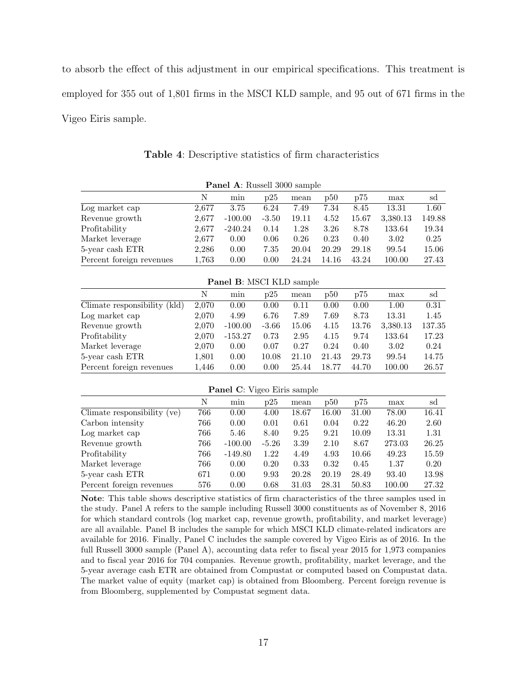to absorb the effect of this adjustment in our empirical specifications. This treatment is employed for 355 out of 1,801 firms in the MSCI KLD sample, and 95 out of 671 firms in the Vigeo Eiris sample.

<span id="page-18-0"></span>

| <b>Panel A:</b> Russell 3000 sample |       |           |         |       |       |       |          |        |  |  |  |
|-------------------------------------|-------|-----------|---------|-------|-------|-------|----------|--------|--|--|--|
|                                     | N     | min       | D25     | mean  | p50   | p75   | max      | sd     |  |  |  |
| Log market cap                      | 2.677 | 3.75      | 6.24    | 7.49  | 7.34  | 8.45  | 13.31    | 1.60   |  |  |  |
| Revenue growth                      | 2.677 | $-100.00$ | $-3.50$ | 19.11 | 4.52  | 15.67 | 3,380.13 | 149.88 |  |  |  |
| Profitability                       | 2,677 | $-240.24$ | 0.14    | 1.28  | 3.26  | 8.78  | 133.64   | 19.34  |  |  |  |
| Market leverage                     | 2,677 | 0.00      | 0.06    | 0.26  | 0.23  | 0.40  | 3.02     | 0.25   |  |  |  |
| 5-year cash ETR                     | 2,286 | 0.00      | 7.35    | 20.04 | 20.29 | 29.18 | 99.54    | 15.06  |  |  |  |
| Percent foreign revenues            | 1.763 | 0.00      | 0.00    | 24.24 | 14.16 | 43.24 | 100.00   | 27.43  |  |  |  |

Table 4: Descriptive statistics of firm characteristics

Panel B: MSCI KLD sample

|                                 | N     | min       | D25     | mean  | p50   | p75   | max      | sd     |
|---------------------------------|-------|-----------|---------|-------|-------|-------|----------|--------|
| (kld)<br>Climate responsibility | 2,070 | 0.00      | 0.00    | 0.11  | 0.00  | 0.00  | 1.00     | 0.31   |
| Log market cap                  | 2,070 | 4.99      | 6.76    | 7.89  | 7.69  | 8.73  | 13.31    | 1.45   |
| Revenue growth                  | 2,070 | $-100.00$ | $-3.66$ | 15.06 | 4.15  | 13.76 | 3,380.13 | 137.35 |
| Profitability                   | 2,070 | $-153.27$ | 0.73    | 2.95  | 4.15  | 9.74  | 133.64   | 17.23  |
| Market leverage                 | 2,070 | 0.00      | 0.07    | 0.27  | 0.24  | 0.40  | 3.02     | 0.24   |
| 5-year cash ETR                 | 1,801 | 0.00      | 10.08   | 21.10 | 21.43 | 29.73 | 99.54    | 14.75  |
| Percent foreign revenues        | 1,446 | 0.00      | 0.00    | 25.44 | 18.77 | 44.70 | 100.00   | 26.57  |

| <b>Panel C:</b> Vigeo Eiris sample |     |           |         |       |       |       |        |       |  |  |
|------------------------------------|-----|-----------|---------|-------|-------|-------|--------|-------|--|--|
|                                    | N   | mın       | p25     | mean  | p50   | p75   | max    | sd    |  |  |
| Climate responsibility (ve)        | 766 | 0.00      | 4.00    | 18.67 | 16.00 | 31.00 | 78.00  | 16.41 |  |  |
| Carbon intensity                   | 766 | 0.00      | 0.01    | 0.61  | 0.04  | 0.22  | 46.20  | 2.60  |  |  |
| Log market cap                     | 766 | 5.46      | 8.40    | 9.25  | 9.21  | 10.09 | 13.31  | 1.31  |  |  |
| Revenue growth                     | 766 | $-100.00$ | $-5.26$ | 3.39  | 2.10  | 8.67  | 273.03 | 26.25 |  |  |
| Profitability                      | 766 | $-149.80$ | 1.22    | 4.49  | 4.93  | 10.66 | 49.23  | 15.59 |  |  |
| Market leverage                    | 766 | 0.00      | 0.20    | 0.33  | 0.32  | 0.45  | 1.37   | 0.20  |  |  |
| 5-year cash ETR                    | 671 | 0.00      | 9.93    | 20.28 | 20.19 | 28.49 | 93.40  | 13.98 |  |  |
| Percent foreign revenues           | 576 | 0.00      | 0.68    | 31.03 | 28.31 | 50.83 | 100.00 | 27.32 |  |  |

Note: This table shows descriptive statistics of firm characteristics of the three samples used in the study. Panel A refers to the sample including Russell 3000 constituents as of November 8, 2016 for which standard controls (log market cap, revenue growth, profitability, and market leverage) are all available. Panel B includes the sample for which MSCI KLD climate-related indicators are available for 2016. Finally, Panel C includes the sample covered by Vigeo Eiris as of 2016. In the full Russell 3000 sample (Panel A), accounting data refer to fiscal year 2015 for 1,973 companies and to fiscal year 2016 for 704 companies. Revenue growth, profitability, market leverage, and the 5-year average cash ETR are obtained from Compustat or computed based on Compustat data. The market value of equity (market cap) is obtained from Bloomberg. Percent foreign revenue is from Bloomberg, supplemented by Compustat segment data.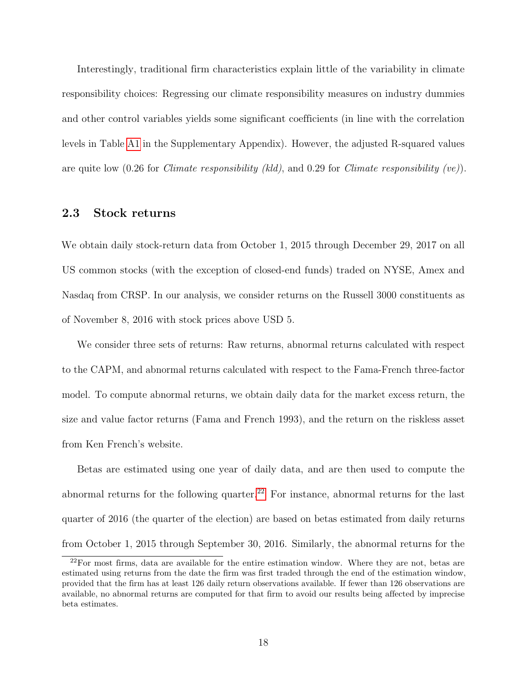Interestingly, traditional firm characteristics explain little of the variability in climate responsibility choices: Regressing our climate responsibility measures on industry dummies and other control variables yields some significant coefficients (in line with the correlation levels in Table [A1](#page-54-0) in the Supplementary Appendix). However, the adjusted R-squared values are quite low  $(0.26$  for *Climate responsibility (kld)*, and 0.29 for *Climate responsibility (ve)*).

### 2.3 Stock returns

We obtain daily stock-return data from October 1, 2015 through December 29, 2017 on all US common stocks (with the exception of closed-end funds) traded on NYSE, Amex and Nasdaq from CRSP. In our analysis, we consider returns on the Russell 3000 constituents as of November 8, 2016 with stock prices above USD 5.

We consider three sets of returns: Raw returns, abnormal returns calculated with respect to the CAPM, and abnormal returns calculated with respect to the Fama-French three-factor model. To compute abnormal returns, we obtain daily data for the market excess return, the size and value factor returns (Fama and French 1993), and the return on the riskless asset from Ken French's website.

Betas are estimated using one year of daily data, and are then used to compute the abnormal returns for the following quarter.<sup>[22](#page-19-0)</sup> For instance, abnormal returns for the last quarter of 2016 (the quarter of the election) are based on betas estimated from daily returns from October 1, 2015 through September 30, 2016. Similarly, the abnormal returns for the

<span id="page-19-0"></span> $22$ For most firms, data are available for the entire estimation window. Where they are not, betas are estimated using returns from the date the firm was first traded through the end of the estimation window, provided that the firm has at least 126 daily return observations available. If fewer than 126 observations are available, no abnormal returns are computed for that firm to avoid our results being affected by imprecise beta estimates.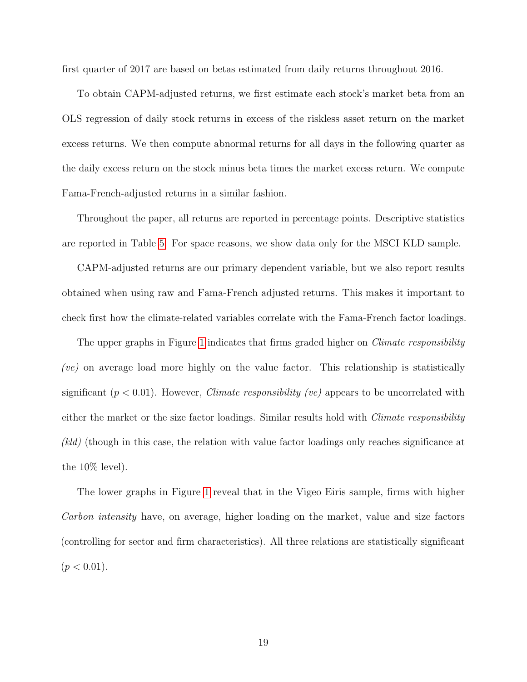first quarter of 2017 are based on betas estimated from daily returns throughout 2016.

To obtain CAPM-adjusted returns, we first estimate each stock's market beta from an OLS regression of daily stock returns in excess of the riskless asset return on the market excess returns. We then compute abnormal returns for all days in the following quarter as the daily excess return on the stock minus beta times the market excess return. We compute Fama-French-adjusted returns in a similar fashion.

Throughout the paper, all returns are reported in percentage points. Descriptive statistics are reported in Table [5.](#page-21-0) For space reasons, we show data only for the MSCI KLD sample.

CAPM-adjusted returns are our primary dependent variable, but we also report results obtained when using raw and Fama-French adjusted returns. This makes it important to check first how the climate-related variables correlate with the Fama-French factor loadings.

The upper graphs in Figure [1](#page-22-0) indicates that firms graded higher on *Climate responsibility* (ve) on average load more highly on the value factor. This relationship is statistically significant  $(p < 0.01)$ . However, *Climate responsibility (ve)* appears to be uncorrelated with either the market or the size factor loadings. Similar results hold with *Climate responsibility* (kld) (though in this case, the relation with value factor loadings only reaches significance at the 10% level).

The lower graphs in Figure [1](#page-22-0) reveal that in the Vigeo Eiris sample, firms with higher Carbon intensity have, on average, higher loading on the market, value and size factors (controlling for sector and firm characteristics). All three relations are statistically significant  $(p < 0.01)$ .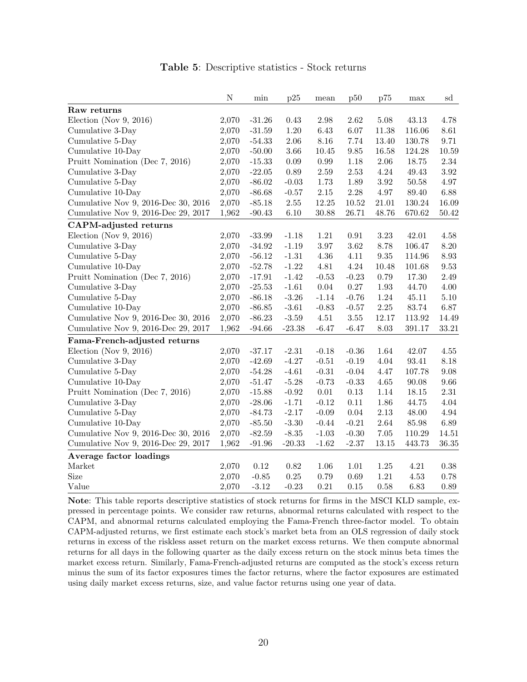|  |  | <b>Table 5:</b> Descriptive statistics - Stock returns |  |  |  |
|--|--|--------------------------------------------------------|--|--|--|
|--|--|--------------------------------------------------------|--|--|--|

<span id="page-21-0"></span>

|                                     | N     | $\min$   | p25      | mean     | p50      | p75      | max        | sd       |
|-------------------------------------|-------|----------|----------|----------|----------|----------|------------|----------|
| Raw returns                         |       |          |          |          |          |          |            |          |
| Election (Nov 9, 2016)              | 2,070 | $-31.26$ | 0.43     | 2.98     | 2.62     | $5.08\,$ | 43.13      | 4.78     |
| Cumulative 3-Day                    | 2,070 | $-31.59$ | $1.20\,$ | 6.43     | 6.07     | 11.38    | 116.06     | 8.61     |
| Cumulative 5-Day                    | 2,070 | $-54.33$ | $2.06\,$ | 8.16     | 7.74     | 13.40    | 130.78     | 9.71     |
| Cumulative 10-Day                   | 2,070 | $-50.00$ | $3.66\,$ | 10.45    | 9.85     | 16.58    | 124.28     | 10.59    |
| Pruitt Nomination (Dec 7, 2016)     | 2,070 | $-15.33$ | $0.09\,$ | 0.99     | 1.18     | 2.06     | 18.75      | $2.34\,$ |
| Cumulative 3-Day                    | 2,070 | $-22.05$ | 0.89     | 2.59     | 2.53     | 4.24     | 49.43      | 3.92     |
| Cumulative 5-Day                    | 2,070 | $-86.02$ | $-0.03$  | 1.73     | 1.89     | 3.92     | 50.58      | 4.97     |
| Cumulative 10-Day                   | 2,070 | $-86.68$ | $-0.57$  | $2.15\,$ | 2.28     | 4.97     | 89.40      | 6.88     |
| Cumulative Nov 9, 2016-Dec 30, 2016 | 2,070 | $-85.18$ | $2.55\,$ | 12.25    | 10.52    | 21.01    | $130.24\,$ | 16.09    |
| Cumulative Nov 9, 2016-Dec 29, 2017 | 1,962 | $-90.43$ | $6.10\,$ | 30.88    | 26.71    | 48.76    | 670.62     | 50.42    |
| CAPM-adjusted returns               |       |          |          |          |          |          |            |          |
| Election (Nov $9, 2016$ )           | 2,070 | $-33.99$ | $-1.18$  | 1.21     | 0.91     | $3.23\,$ | 42.01      | 4.58     |
| Cumulative 3-Day                    | 2,070 | $-34.92$ | $-1.19$  | 3.97     | 3.62     | 8.78     | 106.47     | 8.20     |
| Cumulative 5-Day                    | 2,070 | $-56.12$ | $-1.31$  | 4.36     | 4.11     | $9.35\,$ | 114.96     | 8.93     |
| Cumulative 10-Day                   | 2,070 | $-52.78$ | $-1.22$  | 4.81     | $4.24\,$ | 10.48    | 101.68     | 9.53     |
| Pruitt Nomination (Dec 7, 2016)     | 2,070 | $-17.91$ | $-1.42$  | $-0.53$  | $-0.23$  | 0.79     | 17.30      | 2.49     |
| Cumulative 3-Day                    | 2,070 | $-25.53$ | $-1.61$  | 0.04     | 0.27     | 1.93     | 44.70      | $4.00\,$ |
| Cumulative 5-Day                    | 2,070 | $-86.18$ | $-3.26$  | $-1.14$  | $-0.76$  | 1.24     | 45.11      | $5.10\,$ |
| Cumulative 10-Day                   | 2,070 | $-86.85$ | $-3.61$  | $-0.83$  | $-0.57$  | 2.25     | 83.74      | 6.87     |
| Cumulative Nov 9, 2016-Dec 30, 2016 | 2,070 | $-86.23$ | $-3.59$  | 4.51     | $3.55\,$ | 12.17    | 113.92     | 14.49    |
| Cumulative Nov 9, 2016-Dec 29, 2017 | 1,962 | $-94.66$ | $-23.38$ | $-6.47$  | $-6.47$  | 8.03     | 391.17     | 33.21    |
| Fama-French-adjusted returns        |       |          |          |          |          |          |            |          |
| Election (Nov 9, 2016)              | 2,070 | $-37.17$ | $-2.31$  | $-0.18$  | $-0.36$  | 1.64     | 42.07      | 4.55     |
| Cumulative 3-Day                    | 2,070 | $-42.69$ | $-4.27$  | $-0.51$  | $-0.19$  | 4.04     | 93.41      | 8.18     |
| Cumulative 5-Day                    | 2,070 | $-54.28$ | $-4.61$  | $-0.31$  | $-0.04$  | 4.47     | 107.78     | 9.08     |
| Cumulative 10-Day                   | 2,070 | $-51.47$ | $-5.28$  | $-0.73$  | $-0.33$  | 4.65     | 90.08      | 9.66     |
| Pruitt Nomination (Dec 7, 2016)     | 2,070 | $-15.88$ | $-0.92$  | $0.01\,$ | $0.13\,$ | 1.14     | 18.15      | $2.31\,$ |
| Cumulative 3-Day                    | 2,070 | $-28.06$ | $-1.71$  | $-0.12$  | 0.11     | 1.86     | 44.75      | $4.04\,$ |
| Cumulative 5-Day                    | 2,070 | $-84.73$ | $-2.17$  | $-0.09$  | 0.04     | $2.13\,$ | 48.00      | $4.94\,$ |
| Cumulative 10-Day                   | 2,070 | $-85.50$ | $-3.30$  | $-0.44$  | $-0.21$  | 2.64     | 85.98      | 6.89     |
| Cumulative Nov 9, 2016-Dec 30, 2016 | 2,070 | $-82.59$ | $-8.35$  | $-1.03$  | $-0.30$  | $7.05\,$ | 110.29     | 14.51    |
| Cumulative Nov 9, 2016-Dec 29, 2017 | 1,962 | $-91.96$ | $-20.33$ | $-1.62$  | $-2.37$  | 13.15    | 443.73     | 36.35    |
| Average factor loadings             |       |          |          |          |          |          |            |          |
| Market                              | 2,070 | 0.12     | $0.82\,$ | 1.06     | 1.01     | $1.25\,$ | 4.21       | 0.38     |
| Size                                | 2,070 | $-0.85$  | $0.25\,$ | 0.79     | 0.69     | 1.21     | 4.53       | 0.78     |
| Value                               | 2,070 | $-3.12$  | $-0.23$  | 0.21     | 0.15     | 0.58     | 6.83       | $0.89\,$ |

Note: This table reports descriptive statistics of stock returns for firms in the MSCI KLD sample, expressed in percentage points. We consider raw returns, abnormal returns calculated with respect to the CAPM, and abnormal returns calculated employing the Fama-French three-factor model. To obtain CAPM-adjusted returns, we first estimate each stock's market beta from an OLS regression of daily stock returns in excess of the riskless asset return on the market excess returns. We then compute abnormal returns for all days in the following quarter as the daily excess return on the stock minus beta times the market excess return. Similarly, Fama-French-adjusted returns are computed as the stock's excess return minus the sum of its factor exposures times the factor returns, where the factor exposures are estimated using daily market excess returns, size, and value factor returns using one year of data.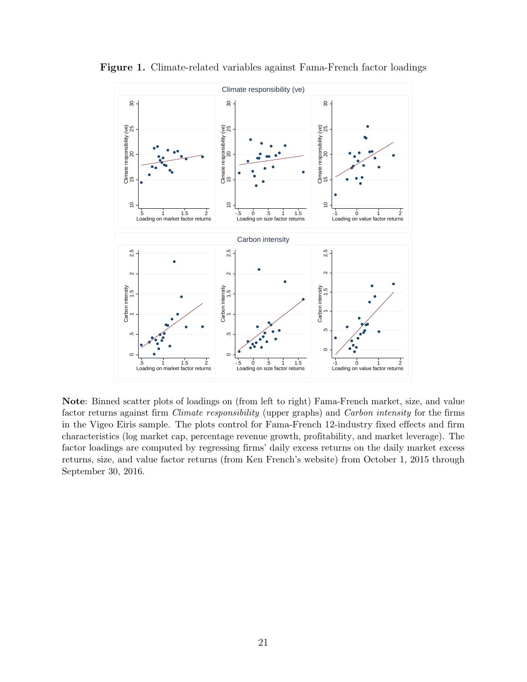

<span id="page-22-0"></span>Figure 1. Climate-related variables against Fama-French factor loadings

Note: Binned scatter plots of loadings on (from left to right) Fama-French market, size, and value factor returns against firm Climate responsibility (upper graphs) and Carbon intensity for the firms in the Vigeo Eiris sample. The plots control for Fama-French 12-industry fixed effects and firm characteristics (log market cap, percentage revenue growth, profitability, and market leverage). The factor loadings are computed by regressing firms' daily excess returns on the daily market excess returns, size, and value factor returns (from Ken French's website) from October 1, 2015 through September 30, 2016.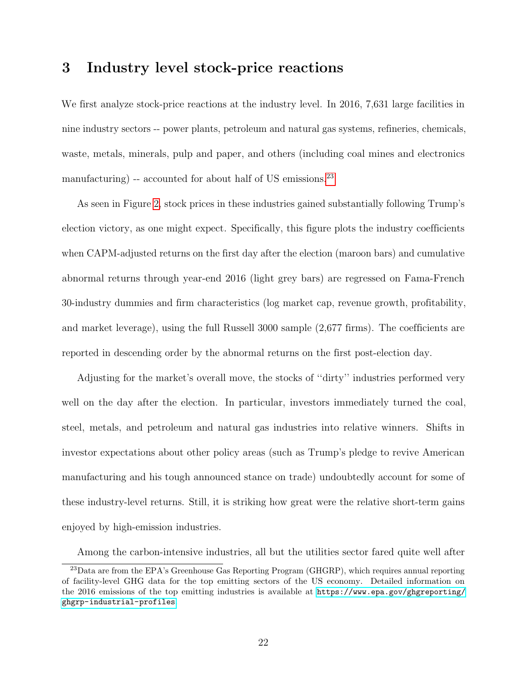# <span id="page-23-0"></span>3 Industry level stock-price reactions

We first analyze stock-price reactions at the industry level. In 2016, 7,631 large facilities in nine industry sectors -- power plants, petroleum and natural gas systems, refineries, chemicals, waste, metals, minerals, pulp and paper, and others (including coal mines and electronics manufacturing) -- accounted for about half of US emissions.<sup>[23](#page-23-1)</sup>

As seen in Figure [2,](#page-24-0) stock prices in these industries gained substantially following Trump's election victory, as one might expect. Specifically, this figure plots the industry coefficients when CAPM-adjusted returns on the first day after the election (maroon bars) and cumulative abnormal returns through year-end 2016 (light grey bars) are regressed on Fama-French 30-industry dummies and firm characteristics (log market cap, revenue growth, profitability, and market leverage), using the full Russell 3000 sample (2,677 firms). The coefficients are reported in descending order by the abnormal returns on the first post-election day.

Adjusting for the market's overall move, the stocks of ''dirty'' industries performed very well on the day after the election. In particular, investors immediately turned the coal, steel, metals, and petroleum and natural gas industries into relative winners. Shifts in investor expectations about other policy areas (such as Trump's pledge to revive American manufacturing and his tough announced stance on trade) undoubtedly account for some of these industry-level returns. Still, it is striking how great were the relative short-term gains enjoyed by high-emission industries.

<span id="page-23-1"></span>Among the carbon-intensive industries, all but the utilities sector fared quite well after

<sup>&</sup>lt;sup>23</sup>Data are from the EPA's Greenhouse Gas Reporting Program (GHGRP), which requires annual reporting of facility-level GHG data for the top emitting sectors of the US economy. Detailed information on the 2016 emissions of the top emitting industries is available at [https://www.epa.gov/ghgreporting/](https://www.epa.gov/ghgreporting/ghgrp-industrial-profiles) [ghgrp-industrial-profiles](https://www.epa.gov/ghgreporting/ghgrp-industrial-profiles).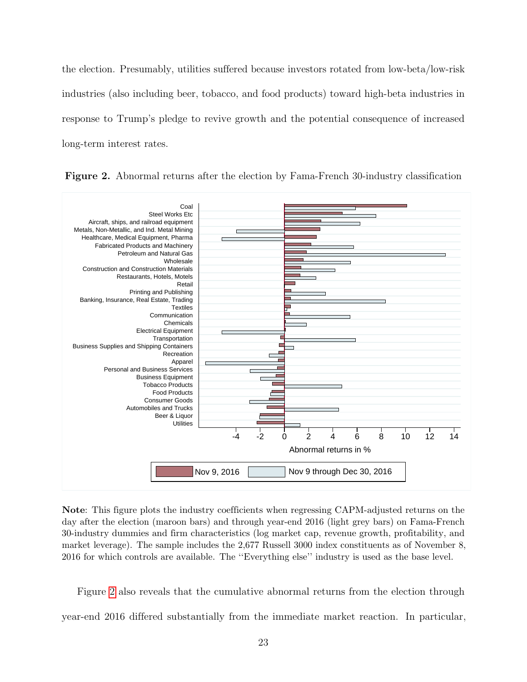the election. Presumably, utilities suffered because investors rotated from low-beta/low-risk industries (also including beer, tobacco, and food products) toward high-beta industries in response to Trump's pledge to revive growth and the potential consequence of increased long-term interest rates.



<span id="page-24-0"></span>Figure 2. Abnormal returns after the election by Fama-French 30-industry classification

Note: This figure plots the industry coefficients when regressing CAPM-adjusted returns on the day after the election (maroon bars) and through year-end 2016 (light grey bars) on Fama-French 30-industry dummies and firm characteristics (log market cap, revenue growth, profitability, and market leverage). The sample includes the 2,677 Russell 3000 index constituents as of November 8, 2016 for which controls are available. The ''Everything else'' industry is used as the base level.

Figure [2](#page-24-0) also reveals that the cumulative abnormal returns from the election through year-end 2016 differed substantially from the immediate market reaction. In particular,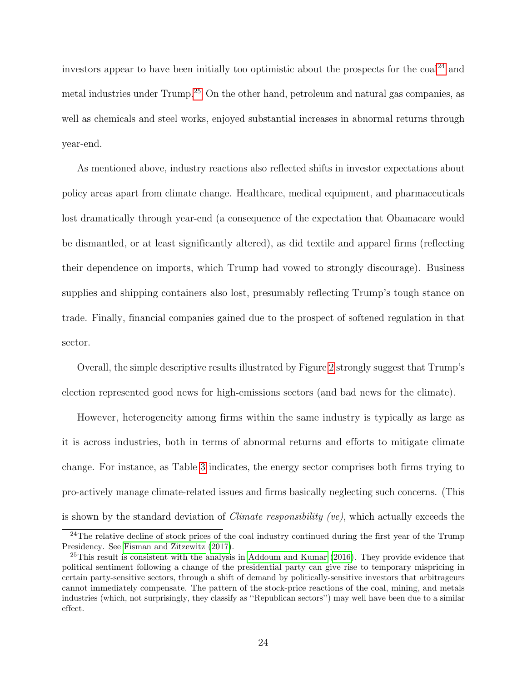investors appear to have been initially too optimistic about the prospects for the  $\cosh^{24}$  $\cosh^{24}$  $\cosh^{24}$  and metal industries under Trump.[25](#page-25-1) On the other hand, petroleum and natural gas companies, as well as chemicals and steel works, enjoyed substantial increases in abnormal returns through year-end.

As mentioned above, industry reactions also reflected shifts in investor expectations about policy areas apart from climate change. Healthcare, medical equipment, and pharmaceuticals lost dramatically through year-end (a consequence of the expectation that Obamacare would be dismantled, or at least significantly altered), as did textile and apparel firms (reflecting their dependence on imports, which Trump had vowed to strongly discourage). Business supplies and shipping containers also lost, presumably reflecting Trump's tough stance on trade. Finally, financial companies gained due to the prospect of softened regulation in that sector.

Overall, the simple descriptive results illustrated by Figure [2](#page-24-0) strongly suggest that Trump's election represented good news for high-emissions sectors (and bad news for the climate).

However, heterogeneity among firms within the same industry is typically as large as it is across industries, both in terms of abnormal returns and efforts to mitigate climate change. For instance, as Table [3](#page-16-0) indicates, the energy sector comprises both firms trying to pro-actively manage climate-related issues and firms basically neglecting such concerns. (This is shown by the standard deviation of *Climate responsibility (ve)*, which actually exceeds the

<span id="page-25-0"></span><sup>&</sup>lt;sup>24</sup>The relative decline of stock prices of the coal industry continued during the first year of the Trump Presidency. See [Fisman and Zitzewitz](#page-51-4) [\(2017\)](#page-51-4).

<span id="page-25-1"></span> $^{25}$ This result is consistent with the analysis in [Addoum and Kumar](#page-50-4) [\(2016\)](#page-50-4). They provide evidence that political sentiment following a change of the presidential party can give rise to temporary mispricing in certain party-sensitive sectors, through a shift of demand by politically-sensitive investors that arbitrageurs cannot immediately compensate. The pattern of the stock-price reactions of the coal, mining, and metals industries (which, not surprisingly, they classify as ''Republican sectors'') may well have been due to a similar effect.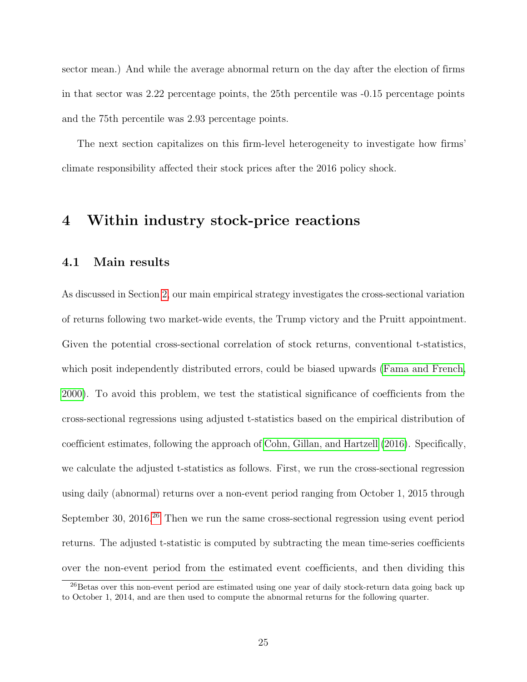sector mean.) And while the average abnormal return on the day after the election of firms in that sector was 2.22 percentage points, the 25th percentile was -0.15 percentage points and the 75th percentile was 2.93 percentage points.

The next section capitalizes on this firm-level heterogeneity to investigate how firms' climate responsibility affected their stock prices after the 2016 policy shock.

# <span id="page-26-0"></span>4 Within industry stock-price reactions

### 4.1 Main results

As discussed in Section [2,](#page-9-0) our main empirical strategy investigates the cross-sectional variation of returns following two market-wide events, the Trump victory and the Pruitt appointment. Given the potential cross-sectional correlation of stock returns, conventional t-statistics, which posit independently distributed errors, could be biased upwards [\(Fama and French,](#page-51-5) [2000\)](#page-51-5). To avoid this problem, we test the statistical significance of coefficients from the cross-sectional regressions using adjusted t-statistics based on the empirical distribution of coefficient estimates, following the approach of [Cohn, Gillan, and Hartzell](#page-51-6) [\(2016\)](#page-51-6). Specifically, we calculate the adjusted t-statistics as follows. First, we run the cross-sectional regression using daily (abnormal) returns over a non-event period ranging from October 1, 2015 through September 30, 2016.<sup>[26](#page-26-1)</sup> Then we run the same cross-sectional regression using event period returns. The adjusted t-statistic is computed by subtracting the mean time-series coefficients over the non-event period from the estimated event coefficients, and then dividing this

<span id="page-26-1"></span><sup>&</sup>lt;sup>26</sup>Betas over this non-event period are estimated using one year of daily stock-return data going back up to October 1, 2014, and are then used to compute the abnormal returns for the following quarter.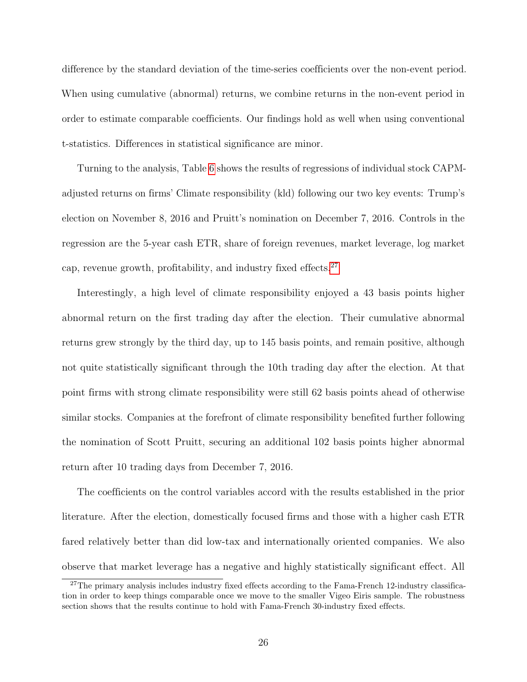difference by the standard deviation of the time-series coefficients over the non-event period. When using cumulative (abnormal) returns, we combine returns in the non-event period in order to estimate comparable coefficients. Our findings hold as well when using conventional t-statistics. Differences in statistical significance are minor.

Turning to the analysis, Table [6](#page-28-0) shows the results of regressions of individual stock CAPMadjusted returns on firms' Climate responsibility (kld) following our two key events: Trump's election on November 8, 2016 and Pruitt's nomination on December 7, 2016. Controls in the regression are the 5-year cash ETR, share of foreign revenues, market leverage, log market cap, revenue growth, profitability, and industry fixed effects. $27$ 

Interestingly, a high level of climate responsibility enjoyed a 43 basis points higher abnormal return on the first trading day after the election. Their cumulative abnormal returns grew strongly by the third day, up to 145 basis points, and remain positive, although not quite statistically significant through the 10th trading day after the election. At that point firms with strong climate responsibility were still 62 basis points ahead of otherwise similar stocks. Companies at the forefront of climate responsibility benefited further following the nomination of Scott Pruitt, securing an additional 102 basis points higher abnormal return after 10 trading days from December 7, 2016.

The coefficients on the control variables accord with the results established in the prior literature. After the election, domestically focused firms and those with a higher cash ETR fared relatively better than did low-tax and internationally oriented companies. We also observe that market leverage has a negative and highly statistically significant effect. All

<span id="page-27-0"></span><sup>&</sup>lt;sup>27</sup>The primary analysis includes industry fixed effects according to the Fama-French 12-industry classification in order to keep things comparable once we move to the smaller Vigeo Eiris sample. The robustness section shows that the results continue to hold with Fama-French 30-industry fixed effects.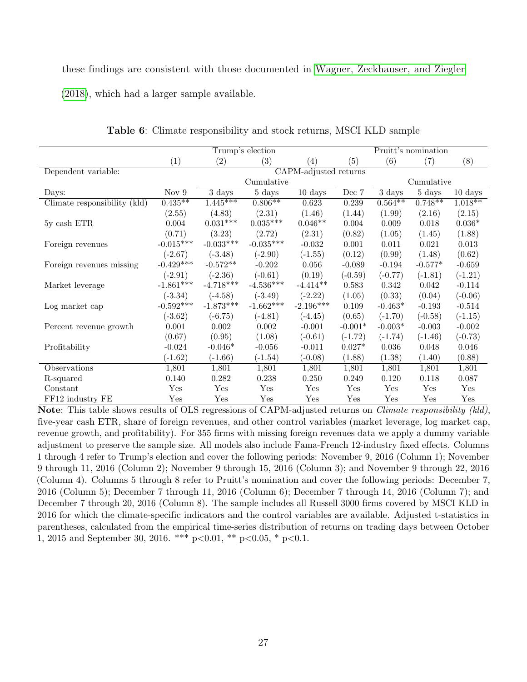these findings are consistent with those documented in [Wagner, Zeckhauser, and Ziegler](#page-53-1) [\(2018\)](#page-53-1), which had a larger sample available.

<span id="page-28-0"></span>

|                              |             |             | Trump's election    |                                             |           |            | Pruitt's nomination        |                      |
|------------------------------|-------------|-------------|---------------------|---------------------------------------------|-----------|------------|----------------------------|----------------------|
|                              | (1)         | (2)         | (3)                 | $\left( 4\right)$                           | (5)       | (6)        | (7)                        | (8)                  |
| Dependent variable:          |             |             |                     | $\overline{\text{CAPM-} }$ adjusted returns |           |            |                            |                      |
|                              |             |             | Cumulative          |                                             |           |            | Cumulative                 |                      |
| Days:                        | Nov $9$     | 3 days      | $5 \ \mathrm{days}$ | $\overline{10}$ days                        | Dec 7     | 3 days     | $5 \overline{\text{days}}$ | $10 \ \mathrm{days}$ |
| Climate responsibility (kld) | $0.435**$   | $1.445***$  | $0.806**$           | 0.623                                       | 0.239     | $0.564***$ | $0.748**$                  | $1.018**$            |
|                              | (2.55)      | (4.83)      | (2.31)              | (1.46)                                      | (1.44)    | (1.99)     | (2.16)                     | (2.15)               |
| 5y cash ETR                  | 0.004       | $0.031***$  | $0.035***$          | $0.046**$                                   | $0.004\,$ | 0.009      | 0.018                      | $0.036*$             |
|                              | (0.71)      | (3.23)      | (2.72)              | (2.31)                                      | (0.82)    | (1.05)     | (1.45)                     | (1.88)               |
| Foreign revenues             | $-0.015***$ | $-0.033***$ | $-0.035***$         | $-0.032$                                    | 0.001     | 0.011      | 0.021                      | 0.013                |
|                              | $(-2.67)$   | $(-3.48)$   | $(-2.90)$           | $(-1.55)$                                   | (0.12)    | (0.99)     | (1.48)                     | (0.62)               |
| Foreign revenues missing     | $-0.429***$ | $-0.572**$  | $-0.202$            | 0.056                                       | $-0.089$  | $-0.194$   | $-0.577*$                  | $-0.659$             |
|                              | $(-2.91)$   | $(-2.36)$   | $(-0.61)$           | (0.19)                                      | $(-0.59)$ | $(-0.77)$  | $(-1.81)$                  | $(-1.21)$            |
| Market leverage              | $-1.861***$ | $-4.718***$ | $-4.536***$         | $-4.414**$                                  | 0.583     | 0.342      | 0.042                      | $-0.114$             |
|                              | $(-3.34)$   | $(-4.58)$   | $(-3.49)$           | $(-2.22)$                                   | (1.05)    | (0.33)     | (0.04)                     | $(-0.06)$            |
| Log market cap               | $-0.592***$ | $-1.873***$ | $-1.662***$         | $-2.196***$                                 | 0.109     | $-0.463*$  | $-0.193$                   | $-0.514$             |
|                              | $(-3.62)$   | $(-6.75)$   | $(-4.81)$           | $(-4.45)$                                   | (0.65)    | $(-1.70)$  | $(-0.58)$                  | $(-1.15)$            |
| Percent revenue growth       | 0.001       | 0.002       | 0.002               | $-0.001$                                    | $-0.001*$ | $-0.003*$  | $-0.003$                   | $-0.002$             |
|                              | (0.67)      | (0.95)      | (1.08)              | $(-0.61)$                                   | $(-1.72)$ | $(-1.74)$  | $(-1.46)$                  | $(-0.73)$            |
| Profitability                | $-0.024$    | $-0.046*$   | $-0.056$            | $-0.011$                                    | $0.027*$  | $0.036\,$  | 0.048                      | 0.046                |
|                              | $(-1.62)$   | $(-1.66)$   | $(-1.54)$           | $(-0.08)$                                   | (1.88)    | (1.38)     | (1.40)                     | (0.88)               |
| Observations                 | 1,801       | 1,801       | 1,801               | 1,801                                       | 1,801     | 1,801      | 1,801                      | 1,801                |
| R-squared                    | 0.140       | 0.282       | 0.238               | 0.250                                       | 0.249     | 0.120      | 0.118                      | 0.087                |
| Constant                     | Yes         | Yes         | Yes                 | Yes                                         | Yes       | Yes        | Yes                        | Yes                  |
| FF12 industry FE             | Yes         | Yes         | Yes                 | Yes                                         | Yes       | Yes        | Yes                        | Yes                  |

Table 6: Climate responsibility and stock returns, MSCI KLD sample

Note: This table shows results of OLS regressions of CAPM-adjusted returns on Climate responsibility (kld), five-year cash ETR, share of foreign revenues, and other control variables (market leverage, log market cap, revenue growth, and profitability). For 355 firms with missing foreign revenues data we apply a dummy variable adjustment to preserve the sample size. All models also include Fama-French 12-industry fixed effects. Columns 1 through 4 refer to Trump's election and cover the following periods: November 9, 2016 (Column 1); November 9 through 11, 2016 (Column 2); November 9 through 15, 2016 (Column 3); and November 9 through 22, 2016 (Column 4). Columns 5 through 8 refer to Pruitt's nomination and cover the following periods: December 7, 2016 (Column 5); December 7 through 11, 2016 (Column 6); December 7 through 14, 2016 (Column 7); and December 7 through 20, 2016 (Column 8). The sample includes all Russell 3000 firms covered by MSCI KLD in 2016 for which the climate-specific indicators and the control variables are available. Adjusted t-statistics in parentheses, calculated from the empirical time-series distribution of returns on trading days between October 1, 2015 and September 30, 2016. \*\*\*  $p<0.01$ , \*\*  $p<0.05$ , \*  $p<0.1$ .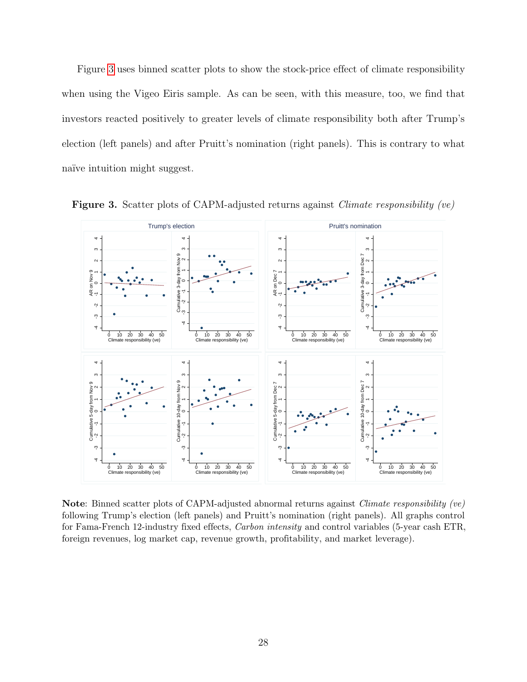Figure [3](#page-29-0) uses binned scatter plots to show the stock-price effect of climate responsibility when using the Vigeo Eiris sample. As can be seen, with this measure, too, we find that investors reacted positively to greater levels of climate responsibility both after Trump's election (left panels) and after Pruitt's nomination (right panels). This is contrary to what naïve intuition might suggest.



<span id="page-29-0"></span>Figure 3. Scatter plots of CAPM-adjusted returns against *Climate responsibility (ve)* 

Note: Binned scatter plots of CAPM-adjusted abnormal returns against Climate responsibility (ve) following Trump's election (left panels) and Pruitt's nomination (right panels). All graphs control for Fama-French 12-industry fixed effects, Carbon intensity and control variables (5-year cash ETR, foreign revenues, log market cap, revenue growth, profitability, and market leverage).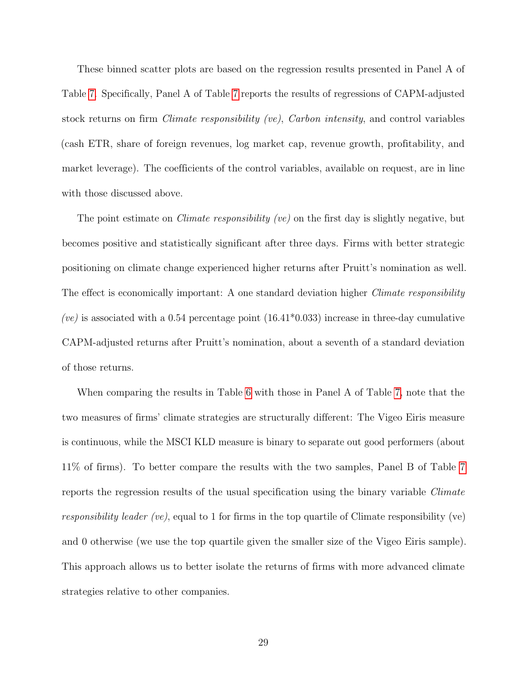These binned scatter plots are based on the regression results presented in Panel A of Table [7.](#page-31-0) Specifically, Panel A of Table [7](#page-31-0) reports the results of regressions of CAPM-adjusted stock returns on firm Climate responsibility (ve), Carbon intensity, and control variables (cash ETR, share of foreign revenues, log market cap, revenue growth, profitability, and market leverage). The coefficients of the control variables, available on request, are in line with those discussed above.

The point estimate on *Climate responsibility (ve)* on the first day is slightly negative, but becomes positive and statistically significant after three days. Firms with better strategic positioning on climate change experienced higher returns after Pruitt's nomination as well. The effect is economically important: A one standard deviation higher *Climate responsibility* (ve) is associated with a 0.54 percentage point  $(16.41^*0.033)$  increase in three-day cumulative CAPM-adjusted returns after Pruitt's nomination, about a seventh of a standard deviation of those returns.

When comparing the results in Table [6](#page-28-0) with those in Panel A of Table [7,](#page-31-0) note that the two measures of firms' climate strategies are structurally different: The Vigeo Eiris measure is continuous, while the MSCI KLD measure is binary to separate out good performers (about 11% of firms). To better compare the results with the two samples, Panel B of Table [7](#page-31-0) reports the regression results of the usual specification using the binary variable Climate responsibility leader (ve), equal to 1 for firms in the top quartile of Climate responsibility (ve) and 0 otherwise (we use the top quartile given the smaller size of the Vigeo Eiris sample). This approach allows us to better isolate the returns of firms with more advanced climate strategies relative to other companies.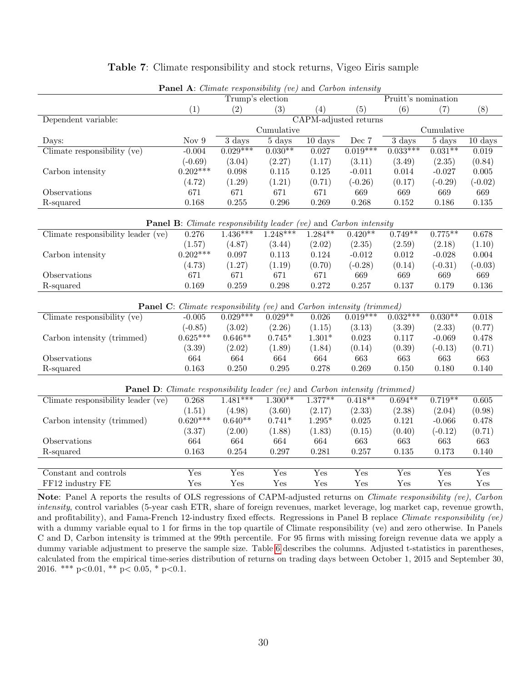<span id="page-31-0"></span>

| <b>Panel A:</b> Climate responsibility (ve) and Carbon intensity                   |                                                                             |                           |                     |                   |                       |                           |                           |                           |  |  |  |
|------------------------------------------------------------------------------------|-----------------------------------------------------------------------------|---------------------------|---------------------|-------------------|-----------------------|---------------------------|---------------------------|---------------------------|--|--|--|
|                                                                                    |                                                                             | Trump's election          |                     |                   |                       | Pruitt's nomination       |                           |                           |  |  |  |
|                                                                                    | (1)                                                                         | (2)                       | (3)                 | (4)               | (5)                   | (6)                       | (7)                       | (8)                       |  |  |  |
| Dependent variable:                                                                |                                                                             |                           |                     |                   | CAPM-adjusted returns |                           |                           |                           |  |  |  |
|                                                                                    |                                                                             |                           | Cumulative          |                   |                       |                           | Cumulative                |                           |  |  |  |
| Days:                                                                              | Nov <sub>9</sub>                                                            | $3 \text{ days}$          | $5 \ \mathrm{days}$ | $10 \text{ days}$ | Dec 7                 | $3 \ \mathrm{days}$       | $5 \ \mathrm{days}$       | $10 \text{ days}$         |  |  |  |
| Climate responsibility (ve)                                                        | $-0.004$                                                                    | $0.029***$                | $0.030**$           | 0.027             | $0.019***$            | $0.033***$                | $0.031***$                | 0.019                     |  |  |  |
|                                                                                    | $(-0.69)$                                                                   | (3.04)                    | (2.27)              | (1.17)            | (3.11)                | (3.49)                    | (2.35)                    | (0.84)                    |  |  |  |
| Carbon intensity                                                                   | $0.202***$                                                                  | 0.098                     | 0.115               | 0.125             | $-0.011$              | 0.014                     | $-0.027$                  | 0.005                     |  |  |  |
|                                                                                    | (4.72)                                                                      | (1.29)                    | (1.21)              | (0.71)            | $(-0.26)$             | (0.17)                    | $(-0.29)$                 | $(-0.02)$                 |  |  |  |
| Observations                                                                       | 671                                                                         | 671                       | 671                 | 671               | 669                   | 669                       | 669                       | 669                       |  |  |  |
| R-squared                                                                          | 0.168                                                                       | 0.255                     | 0.296               | 0.269             | 0.268                 | 0.152                     | 0.186                     | 0.135                     |  |  |  |
|                                                                                    |                                                                             |                           |                     |                   |                       |                           |                           |                           |  |  |  |
| <b>Panel B:</b> Climate responsibility leader (ve) and Carbon intensity            |                                                                             |                           |                     |                   |                       |                           |                           |                           |  |  |  |
| Climate responsibility leader (ve)                                                 | 0.276                                                                       | $1.436***$                | $1.248***$          | $1.284***$        | $0.420**$             | $0.749**$                 | $0.775***$                | 0.678                     |  |  |  |
|                                                                                    | (1.57)                                                                      | (4.87)                    | (3.44)              | (2.02)            | (2.35)                | (2.59)                    | (2.18)                    | (1.10)                    |  |  |  |
| Carbon intensity                                                                   | $0.202***$                                                                  | 0.097                     | 0.113               | 0.124             | $-0.012$              | 0.012                     | $-0.028$                  | 0.004                     |  |  |  |
|                                                                                    | (4.73)                                                                      | (1.27)                    | (1.19)              | (0.70)            | $(-0.28)$             | (0.14)                    | $(-0.31)$                 | $(-0.03)$                 |  |  |  |
| Observations                                                                       | 671                                                                         | 671                       | 671                 | 671               | 669                   | 669                       | 669                       | 669                       |  |  |  |
| R-squared                                                                          | 0.169                                                                       | 0.259                     | 0.298               | 0.272             | 0.257                 | 0.137                     | 0.179                     | 0.136                     |  |  |  |
|                                                                                    |                                                                             |                           |                     |                   |                       |                           |                           |                           |  |  |  |
|                                                                                    | <b>Panel C</b> : Climate responsibility (ve) and Carbon intensity (trimmed) |                           |                     |                   |                       |                           |                           |                           |  |  |  |
| Climate responsibility (ve)                                                        | $-0.005$                                                                    | $0.029***$                | $0.029**$           | 0.026             | $0.019***$            | $0.032***$                | $0.030**$                 | 0.018                     |  |  |  |
|                                                                                    | $(-0.85)$                                                                   | (3.02)                    | (2.26)              | (1.15)            | (3.13)                | (3.39)                    | (2.33)                    | (0.77)                    |  |  |  |
| Carbon intensity (trimmed)                                                         | $0.625***$                                                                  | $0.646**$                 | $0.745*$            | $1.301*$          | 0.023                 | 0.117                     | $-0.069$                  | 0.478                     |  |  |  |
|                                                                                    | (3.39)                                                                      | (2.02)                    | (1.89)              | (1.84)            | (0.14)                | (0.39)                    | $(-0.13)$                 | (0.71)                    |  |  |  |
| Observations                                                                       | 664                                                                         | 664                       | 664                 | 664               | 663                   | 663                       | 663                       | 663                       |  |  |  |
| R-squared                                                                          | 0.163                                                                       | 0.250                     | 0.295               | 0.278             | 0.269                 | 0.150                     | 0.180                     | 0.140                     |  |  |  |
|                                                                                    |                                                                             |                           |                     |                   |                       |                           |                           |                           |  |  |  |
| <b>Panel D</b> : Climate responsibility leader (ve) and Carbon intensity (trimmed) |                                                                             |                           |                     |                   |                       |                           |                           |                           |  |  |  |
| Climate responsibility leader (ve)                                                 | 0.268                                                                       | $1.481***$                | $1.300**$           | $1.377**$         | $0.418**$             | $0.694**$                 | $0.719**$                 | 0.605                     |  |  |  |
|                                                                                    | (1.51)                                                                      | (4.98)                    | (3.60)              | (2.17)            | (2.33)                | (2.38)                    | (2.04)                    | (0.98)                    |  |  |  |
| Carbon intensity (trimmed)                                                         | $0.620***$                                                                  | $0.640**$                 | $0.741*$            | $1.295*$          | $\,0.025\,$           | 0.121                     | $-0.066$                  | 0.478                     |  |  |  |
|                                                                                    | (3.37)                                                                      | (2.00)                    | (1.88)              | (1.83)            | (0.15)                | (0.40)                    | $(-0.12)$                 | (0.71)                    |  |  |  |
| Observations                                                                       | 664                                                                         | 664                       | 664                 | 664               | 663                   | 663                       | 663                       | 663                       |  |  |  |
| R-squared                                                                          | 0.163                                                                       | 0.254                     | 0.297               | 0.281             | 0.257                 | 0.135                     | 0.173                     | 0.140                     |  |  |  |
|                                                                                    |                                                                             |                           |                     |                   |                       |                           |                           |                           |  |  |  |
| Constant and controls                                                              | Yes                                                                         | $\overline{\mathrm{Yes}}$ | $\overline{Yes}$    | Yes               | Yes                   | $\overline{\mathrm{Yes}}$ | $\overline{\mathrm{Yes}}$ | $\overline{\mathrm{Yes}}$ |  |  |  |
| FF12 industry FE                                                                   | Yes                                                                         | Yes                       | Yes                 | Yes               | Yes                   | Yes                       | Yes                       | Yes                       |  |  |  |

#### Table 7: Climate responsibility and stock returns, Vigeo Eiris sample

 $P$  and  $P$  and  $P$  intensity (velocity intensity intensity  $P$ 

Note: Panel A reports the results of OLS regressions of CAPM-adjusted returns on Climate responsibility (ve), Carbon intensity, control variables (5-year cash ETR, share of foreign revenues, market leverage, log market cap, revenue growth, and profitability), and Fama-French 12-industry fixed effects. Regressions in Panel B replace Climate responsibility (ve) with a dummy variable equal to 1 for firms in the top quartile of Climate responsibility (ve) and zero otherwise. In Panels C and D, Carbon intensity is trimmed at the 99th percentile. For 95 firms with missing foreign revenue data we apply a dummy variable adjustment to preserve the sample size. Table [6](#page-28-0) describes the columns. Adjusted t-statistics in parentheses, calculated from the empirical time-series distribution of returns on trading days between October 1, 2015 and September 30, 2016. \*\*\*  $p<0.01$ , \*\*  $p<0.05$ , \*  $p<0.1$ .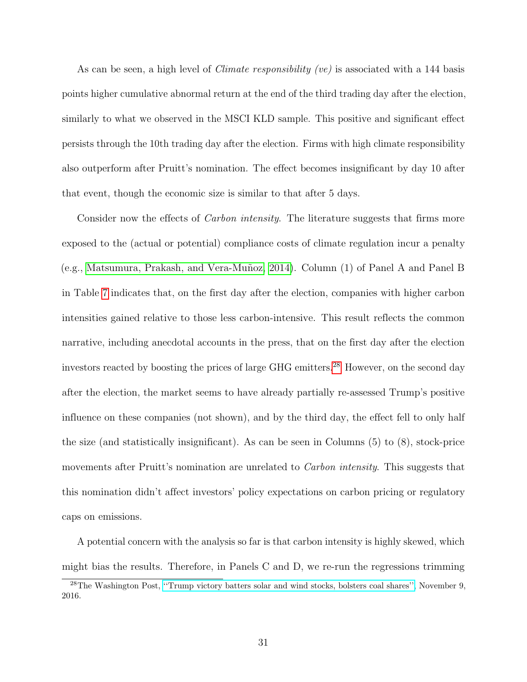As can be seen, a high level of *Climate responsibility (ve)* is associated with a 144 basis points higher cumulative abnormal return at the end of the third trading day after the election, similarly to what we observed in the MSCI KLD sample. This positive and significant effect persists through the 10th trading day after the election. Firms with high climate responsibility also outperform after Pruitt's nomination. The effect becomes insignificant by day 10 after that event, though the economic size is similar to that after 5 days.

Consider now the effects of *Carbon intensity*. The literature suggests that firms more exposed to the (actual or potential) compliance costs of climate regulation incur a penalty (e.g., [Matsumura, Prakash, and Vera-Mu˜noz, 2014\)](#page-53-7). Column (1) of Panel A and Panel B in Table [7](#page-31-0) indicates that, on the first day after the election, companies with higher carbon intensities gained relative to those less carbon-intensive. This result reflects the common narrative, including anecdotal accounts in the press, that on the first day after the election investors reacted by boosting the prices of large GHG emitters.<sup>[28](#page-32-0)</sup> However, on the second day after the election, the market seems to have already partially re-assessed Trump's positive influence on these companies (not shown), and by the third day, the effect fell to only half the size (and statistically insignificant). As can be seen in Columns (5) to (8), stock-price movements after Pruitt's nomination are unrelated to *Carbon intensity*. This suggests that this nomination didn't affect investors' policy expectations on carbon pricing or regulatory caps on emissions.

A potential concern with the analysis so far is that carbon intensity is highly skewed, which might bias the results. Therefore, in Panels C and D, we re-run the regressions trimming

<span id="page-32-0"></span><sup>28</sup>The Washington Post, [''Trump victory batters solar and wind stocks, bolsters coal shares'',](https://www.washingtonpost.com/news/energy-environment/wp/2016/11/09/solar-wind-companies-see-stocks-fall-after-trump-win/?utm_term=.a7a50e74e127) November 9, 2016.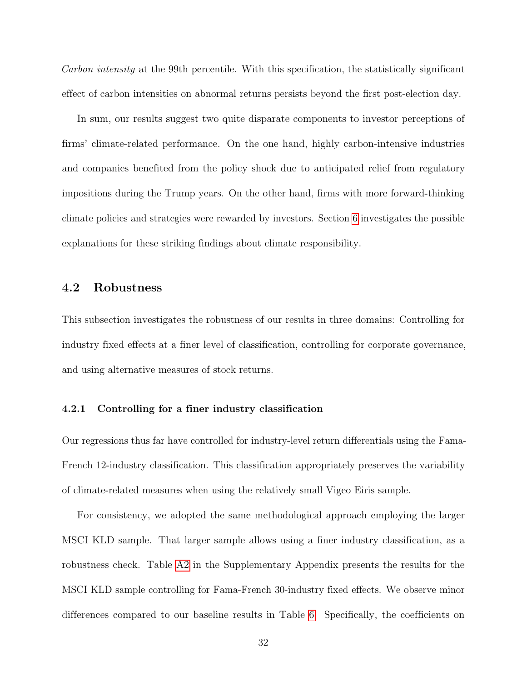Carbon intensity at the 99th percentile. With this specification, the statistically significant effect of carbon intensities on abnormal returns persists beyond the first post-election day.

In sum, our results suggest two quite disparate components to investor perceptions of firms' climate-related performance. On the one hand, highly carbon-intensive industries and companies benefited from the policy shock due to anticipated relief from regulatory impositions during the Trump years. On the other hand, firms with more forward-thinking climate policies and strategies were rewarded by investors. Section [6](#page-38-0) investigates the possible explanations for these striking findings about climate responsibility.

### 4.2 Robustness

This subsection investigates the robustness of our results in three domains: Controlling for industry fixed effects at a finer level of classification, controlling for corporate governance, and using alternative measures of stock returns.

#### 4.2.1 Controlling for a finer industry classification

Our regressions thus far have controlled for industry-level return differentials using the Fama-French 12-industry classification. This classification appropriately preserves the variability of climate-related measures when using the relatively small Vigeo Eiris sample.

For consistency, we adopted the same methodological approach employing the larger MSCI KLD sample. That larger sample allows using a finer industry classification, as a robustness check. Table [A2](#page-55-0) in the Supplementary Appendix presents the results for the MSCI KLD sample controlling for Fama-French 30-industry fixed effects. We observe minor differences compared to our baseline results in Table [6.](#page-28-0) Specifically, the coefficients on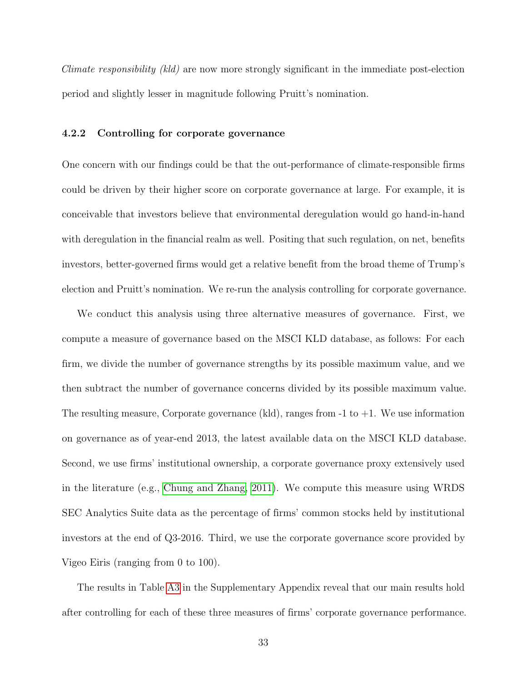Climate responsibility (kld) are now more strongly significant in the immediate post-election period and slightly lesser in magnitude following Pruitt's nomination.

#### 4.2.2 Controlling for corporate governance

One concern with our findings could be that the out-performance of climate-responsible firms could be driven by their higher score on corporate governance at large. For example, it is conceivable that investors believe that environmental deregulation would go hand-in-hand with deregulation in the financial realm as well. Positing that such regulation, on net, benefits investors, better-governed firms would get a relative benefit from the broad theme of Trump's election and Pruitt's nomination. We re-run the analysis controlling for corporate governance.

We conduct this analysis using three alternative measures of governance. First, we compute a measure of governance based on the MSCI KLD database, as follows: For each firm, we divide the number of governance strengths by its possible maximum value, and we then subtract the number of governance concerns divided by its possible maximum value. The resulting measure, Corporate governance (kld), ranges from  $-1$  to  $+1$ . We use information on governance as of year-end 2013, the latest available data on the MSCI KLD database. Second, we use firms' institutional ownership, a corporate governance proxy extensively used in the literature (e.g., [Chung and Zhang, 2011\)](#page-50-5). We compute this measure using WRDS SEC Analytics Suite data as the percentage of firms' common stocks held by institutional investors at the end of Q3-2016. Third, we use the corporate governance score provided by Vigeo Eiris (ranging from 0 to 100).

The results in Table [A3](#page-56-0) in the Supplementary Appendix reveal that our main results hold after controlling for each of these three measures of firms' corporate governance performance.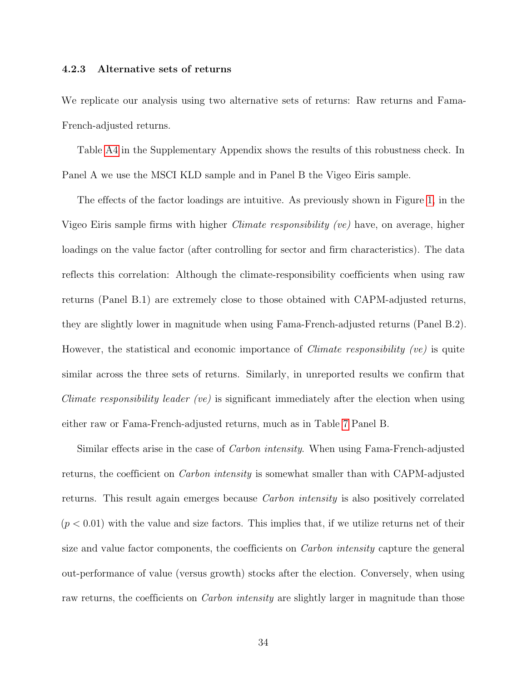#### 4.2.3 Alternative sets of returns

We replicate our analysis using two alternative sets of returns: Raw returns and Fama-French-adjusted returns.

Table [A4](#page-57-0) in the Supplementary Appendix shows the results of this robustness check. In Panel A we use the MSCI KLD sample and in Panel B the Vigeo Eiris sample.

The effects of the factor loadings are intuitive. As previously shown in Figure [1,](#page-22-0) in the Vigeo Eiris sample firms with higher Climate responsibility (ve) have, on average, higher loadings on the value factor (after controlling for sector and firm characteristics). The data reflects this correlation: Although the climate-responsibility coefficients when using raw returns (Panel B.1) are extremely close to those obtained with CAPM-adjusted returns, they are slightly lower in magnitude when using Fama-French-adjusted returns (Panel B.2). However, the statistical and economic importance of *Climate responsibility (ve)* is quite similar across the three sets of returns. Similarly, in unreported results we confirm that Climate responsibility leader (ve) is significant immediately after the election when using either raw or Fama-French-adjusted returns, much as in Table [7](#page-31-0) Panel B.

Similar effects arise in the case of *Carbon intensity*. When using Fama-French-adjusted returns, the coefficient on *Carbon intensity* is somewhat smaller than with CAPM-adjusted returns. This result again emerges because Carbon intensity is also positively correlated  $(p < 0.01)$  with the value and size factors. This implies that, if we utilize returns net of their size and value factor components, the coefficients on *Carbon intensity* capture the general out-performance of value (versus growth) stocks after the election. Conversely, when using raw returns, the coefficients on *Carbon intensity* are slightly larger in magnitude than those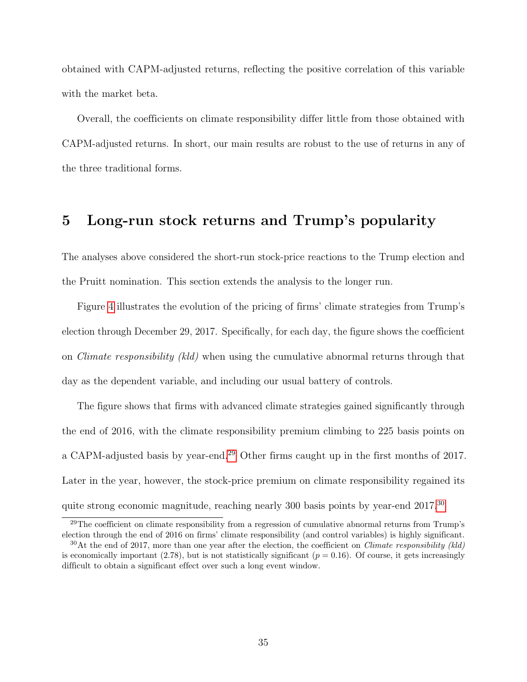obtained with CAPM-adjusted returns, reflecting the positive correlation of this variable with the market beta.

Overall, the coefficients on climate responsibility differ little from those obtained with CAPM-adjusted returns. In short, our main results are robust to the use of returns in any of the three traditional forms.

# <span id="page-36-0"></span>5 Long-run stock returns and Trump's popularity

The analyses above considered the short-run stock-price reactions to the Trump election and the Pruitt nomination. This section extends the analysis to the longer run.

Figure [4](#page-37-0) illustrates the evolution of the pricing of firms' climate strategies from Trump's election through December 29, 2017. Specifically, for each day, the figure shows the coefficient on Climate responsibility (kld) when using the cumulative abnormal returns through that day as the dependent variable, and including our usual battery of controls.

The figure shows that firms with advanced climate strategies gained significantly through the end of 2016, with the climate responsibility premium climbing to 225 basis points on a CAPM-adjusted basis by year-end.<sup>[29](#page-36-1)</sup> Other firms caught up in the first months of 2017. Later in the year, however, the stock-price premium on climate responsibility regained its quite strong economic magnitude, reaching nearly [30](#page-36-2)0 basis points by year-end 2017.<sup>30</sup>

<span id="page-36-1"></span><sup>&</sup>lt;sup>29</sup>The coefficient on climate responsibility from a regression of cumulative abnormal returns from Trump's election through the end of 2016 on firms' climate responsibility (and control variables) is highly significant.

<span id="page-36-2"></span> $30$ At the end of 2017, more than one year after the election, the coefficient on *Climate responsibility (kld)* is economically important (2.78), but is not statistically significant ( $p = 0.16$ ). Of course, it gets increasingly difficult to obtain a significant effect over such a long event window.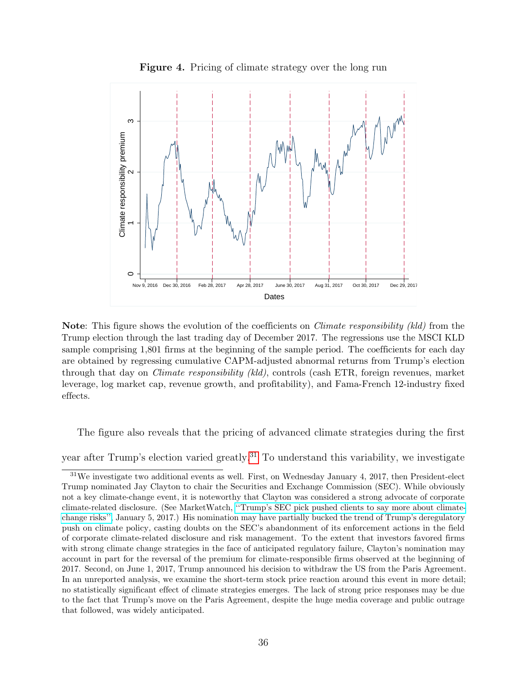<span id="page-37-0"></span>

Figure 4. Pricing of climate strategy over the long run

Note: This figure shows the evolution of the coefficients on *Climate responsibility (kld)* from the Trump election through the last trading day of December 2017. The regressions use the MSCI KLD sample comprising 1,801 firms at the beginning of the sample period. The coefficients for each day are obtained by regressing cumulative CAPM-adjusted abnormal returns from Trump's election through that day on Climate responsibility (kld), controls (cash ETR, foreign revenues, market leverage, log market cap, revenue growth, and profitability), and Fama-French 12-industry fixed effects.

The figure also reveals that the pricing of advanced climate strategies during the first

year after Trump's election varied greatly.<sup>[31](#page-37-1)</sup> To understand this variability, we investigate

<span id="page-37-1"></span><sup>31</sup>We investigate two additional events as well. First, on Wednesday January 4, 2017, then President-elect Trump nominated Jay Clayton to chair the Securities and Exchange Commission (SEC). While obviously not a key climate-change event, it is noteworthy that Clayton was considered a strong advocate of corporate climate-related disclosure. (See MarketWatch, [''Trump's SEC pick pushed clients to say more about climate](https://www.marketwatch.com/story/trumps-sec-pick-pushed-clients-to-say-more-about-climate-change-risks-2017-01-05)[change risks'',](https://www.marketwatch.com/story/trumps-sec-pick-pushed-clients-to-say-more-about-climate-change-risks-2017-01-05) January 5, 2017.) His nomination may have partially bucked the trend of Trump's deregulatory push on climate policy, casting doubts on the SEC's abandonment of its enforcement actions in the field of corporate climate-related disclosure and risk management. To the extent that investors favored firms with strong climate change strategies in the face of anticipated regulatory failure, Clayton's nomination may account in part for the reversal of the premium for climate-responsible firms observed at the beginning of 2017. Second, on June 1, 2017, Trump announced his decision to withdraw the US from the Paris Agreement. In an unreported analysis, we examine the short-term stock price reaction around this event in more detail; no statistically significant effect of climate strategies emerges. The lack of strong price responses may be due to the fact that Trump's move on the Paris Agreement, despite the huge media coverage and public outrage that followed, was widely anticipated.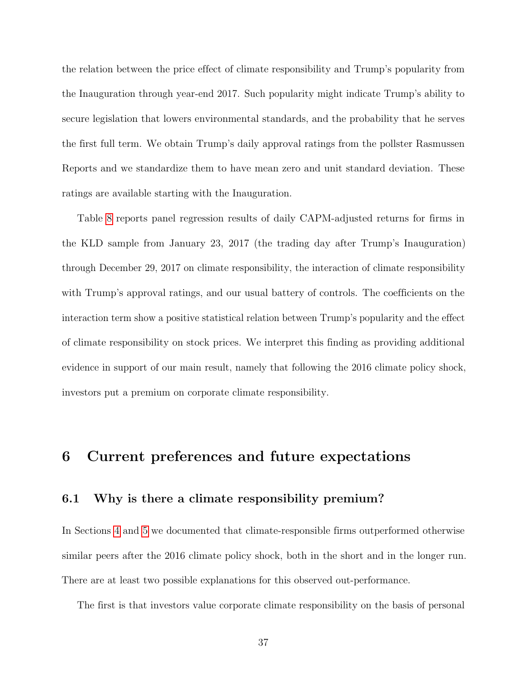the relation between the price effect of climate responsibility and Trump's popularity from the Inauguration through year-end 2017. Such popularity might indicate Trump's ability to secure legislation that lowers environmental standards, and the probability that he serves the first full term. We obtain Trump's daily approval ratings from the pollster Rasmussen Reports and we standardize them to have mean zero and unit standard deviation. These ratings are available starting with the Inauguration.

Table [8](#page-39-0) reports panel regression results of daily CAPM-adjusted returns for firms in the KLD sample from January 23, 2017 (the trading day after Trump's Inauguration) through December 29, 2017 on climate responsibility, the interaction of climate responsibility with Trump's approval ratings, and our usual battery of controls. The coefficients on the interaction term show a positive statistical relation between Trump's popularity and the effect of climate responsibility on stock prices. We interpret this finding as providing additional evidence in support of our main result, namely that following the 2016 climate policy shock, investors put a premium on corporate climate responsibility.

# <span id="page-38-0"></span>6 Current preferences and future expectations

## 6.1 Why is there a climate responsibility premium?

In Sections [4](#page-26-0) and [5](#page-36-0) we documented that climate-responsible firms outperformed otherwise similar peers after the 2016 climate policy shock, both in the short and in the longer run. There are at least two possible explanations for this observed out-performance.

The first is that investors value corporate climate responsibility on the basis of personal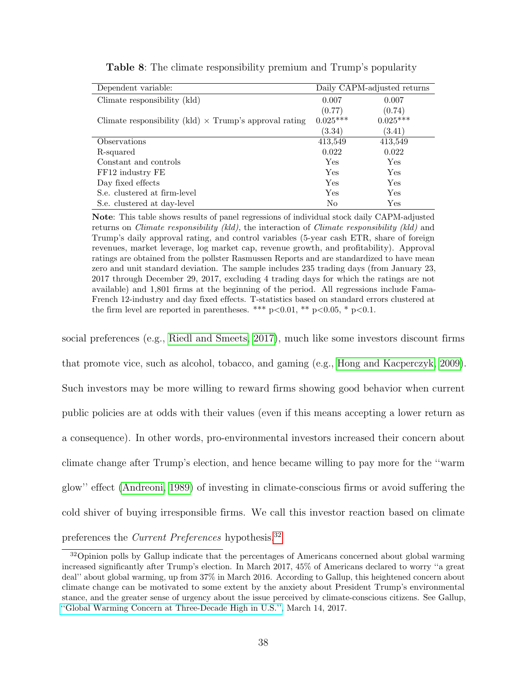<span id="page-39-0"></span>

| Dependent variable:                                           | Daily CAPM-adjusted returns |              |  |  |
|---------------------------------------------------------------|-----------------------------|--------------|--|--|
| Climate responsibility (kld)                                  | 0.007                       | 0.007        |  |  |
|                                                               | (0.77)                      | (0.74)       |  |  |
| Climate responsibility (kld) $\times$ Trump's approval rating | $0.025***$                  | $0.025***$   |  |  |
|                                                               | (3.34)                      | (3.41)       |  |  |
| Observations                                                  | 413,549                     | 413,549      |  |  |
| R-squared                                                     | 0.022                       | 0.022        |  |  |
| Constant and controls                                         | Yes                         | Yes          |  |  |
| FF12 industry FE                                              | Yes                         | Yes          |  |  |
| Day fixed effects                                             | Yes                         | Yes          |  |  |
| S.e. clustered at firm-level                                  | Yes                         | Yes          |  |  |
| S.e. clustered at day-level                                   | No                          | $_{\rm Yes}$ |  |  |

Table 8: The climate responsibility premium and Trump's popularity

Note: This table shows results of panel regressions of individual stock daily CAPM-adjusted returns on *Climate responsibility (kld)*, the interaction of *Climate responsibility (kld)* and Trump's daily approval rating, and control variables (5-year cash ETR, share of foreign revenues, market leverage, log market cap, revenue growth, and profitability). Approval ratings are obtained from the pollster Rasmussen Reports and are standardized to have mean zero and unit standard deviation. The sample includes 235 trading days (from January 23, 2017 through December 29, 2017, excluding 4 trading days for which the ratings are not available) and 1,801 firms at the beginning of the period. All regressions include Fama-French 12-industry and day fixed effects. T-statistics based on standard errors clustered at the firm level are reported in parentheses. \*\*\*  $p<0.01$ , \*\*  $p<0.05$ , \*  $p<0.1$ .

social preferences (e.g., [Riedl and Smeets, 2017\)](#page-53-8), much like some investors discount firms that promote vice, such as alcohol, tobacco, and gaming (e.g., [Hong and Kacperczyk, 2009\)](#page-52-7). Such investors may be more willing to reward firms showing good behavior when current public policies are at odds with their values (even if this means accepting a lower return as a consequence). In other words, pro-environmental investors increased their concern about climate change after Trump's election, and hence became willing to pay more for the ''warm glow'' effect [\(Andreoni, 1989\)](#page-50-1) of investing in climate-conscious firms or avoid suffering the cold shiver of buying irresponsible firms. We call this investor reaction based on climate preferences the Current Preferences hypothesis.[32](#page-39-1)

<span id="page-39-1"></span><sup>&</sup>lt;sup>32</sup>Opinion polls by Gallup indicate that the percentages of Americans concerned about global warming increased significantly after Trump's election. In March 2017, 45% of Americans declared to worry ''a great deal'' about global warming, up from 37% in March 2016. According to Gallup, this heightened concern about climate change can be motivated to some extent by the anxiety about President Trump's environmental stance, and the greater sense of urgency about the issue perceived by climate-conscious citizens. See Gallup, [''Global Warming Concern at Three-Decade High in U.S.'',](https://news.gallup.com/poll/206030/global-warming-concern-three-decade-high.aspx) March 14, 2017.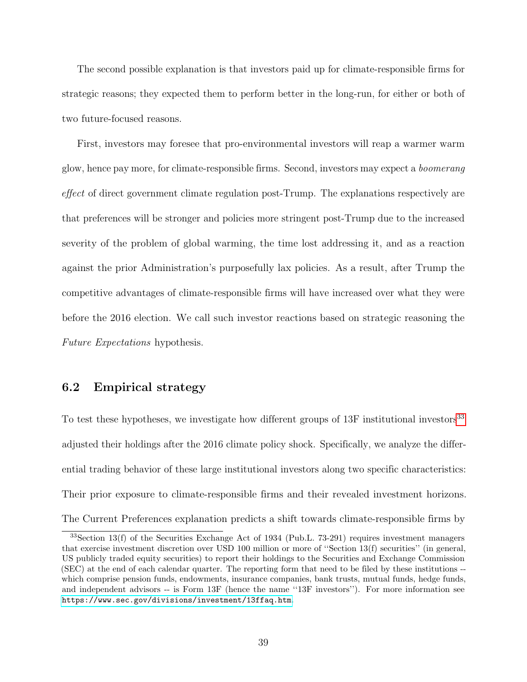The second possible explanation is that investors paid up for climate-responsible firms for strategic reasons; they expected them to perform better in the long-run, for either or both of two future-focused reasons.

First, investors may foresee that pro-environmental investors will reap a warmer warm glow, hence pay more, for climate-responsible firms. Second, investors may expect a boomerang effect of direct government climate regulation post-Trump. The explanations respectively are that preferences will be stronger and policies more stringent post-Trump due to the increased severity of the problem of global warming, the time lost addressing it, and as a reaction against the prior Administration's purposefully lax policies. As a result, after Trump the competitive advantages of climate-responsible firms will have increased over what they were before the 2016 election. We call such investor reactions based on strategic reasoning the Future Expectations hypothesis.

### 6.2 Empirical strategy

To test these hypotheses, we investigate how different groups of 13F institutional investors<sup>[33](#page-40-0)</sup> adjusted their holdings after the 2016 climate policy shock. Specifically, we analyze the differential trading behavior of these large institutional investors along two specific characteristics: Their prior exposure to climate-responsible firms and their revealed investment horizons. The Current Preferences explanation predicts a shift towards climate-responsible firms by

<span id="page-40-0"></span><sup>33</sup>Section 13(f) of the Securities Exchange Act of 1934 (Pub.L. 73-291) requires investment managers that exercise investment discretion over USD 100 million or more of ''Section 13(f) securities'' (in general, US publicly traded equity securities) to report their holdings to the Securities and Exchange Commission (SEC) at the end of each calendar quarter. The reporting form that need to be filed by these institutions - which comprise pension funds, endowments, insurance companies, bank trusts, mutual funds, hedge funds, and independent advisors -- is Form 13F (hence the name "13F investors"). For more information see <https://www.sec.gov/divisions/investment/13ffaq.htm>.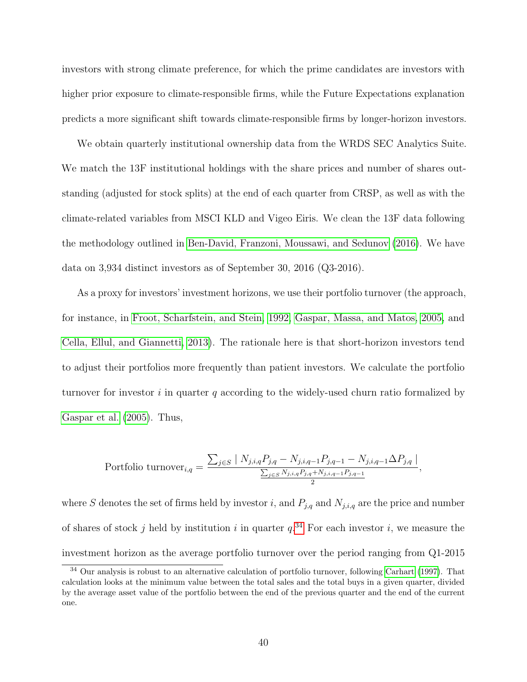investors with strong climate preference, for which the prime candidates are investors with higher prior exposure to climate-responsible firms, while the Future Expectations explanation predicts a more significant shift towards climate-responsible firms by longer-horizon investors.

We obtain quarterly institutional ownership data from the WRDS SEC Analytics Suite. We match the 13F institutional holdings with the share prices and number of shares outstanding (adjusted for stock splits) at the end of each quarter from CRSP, as well as with the climate-related variables from MSCI KLD and Vigeo Eiris. We clean the 13F data following the methodology outlined in [Ben-David, Franzoni, Moussawi, and Sedunov](#page-50-6) [\(2016\)](#page-50-6). We have data on 3,934 distinct investors as of September 30, 2016 (Q3-2016).

As a proxy for investors' investment horizons, we use their portfolio turnover (the approach, for instance, in [Froot, Scharfstein, and Stein, 1992,](#page-51-7) [Gaspar, Massa, and Matos, 2005,](#page-51-8) and [Cella, Ellul, and Giannetti, 2013\)](#page-50-7). The rationale here is that short-horizon investors tend to adjust their portfolios more frequently than patient investors. We calculate the portfolio turnover for investor i in quarter q according to the widely-used churn ratio formalized by [Gaspar et al.](#page-51-8) [\(2005\)](#page-51-8). Thus,

Portfolio turnover

\n
$$
i_{,q} = \frac{\sum_{j \in S} |N_{j,i,q} P_{j,q} - N_{j,i,q-1} P_{j,q-1} - N_{j,i,q-1} \Delta P_{j,q}|}{\frac{\sum_{j \in S} N_{j,i,q} P_{j,q} + N_{j,i,q-1} P_{j,q-1}}{2}},
$$

where S denotes the set of firms held by investor i, and  $P_{j,q}$  and  $N_{j,i,q}$  are the price and number of shares of stock j held by institution i in quarter  $q^{34}$  $q^{34}$  $q^{34}$ . For each investor i, we measure the investment horizon as the average portfolio turnover over the period ranging from Q1-2015

<span id="page-41-0"></span><sup>34</sup> Our analysis is robust to an alternative calculation of portfolio turnover, following [Carhart](#page-50-8) [\(1997\)](#page-50-8). That calculation looks at the minimum value between the total sales and the total buys in a given quarter, divided by the average asset value of the portfolio between the end of the previous quarter and the end of the current one.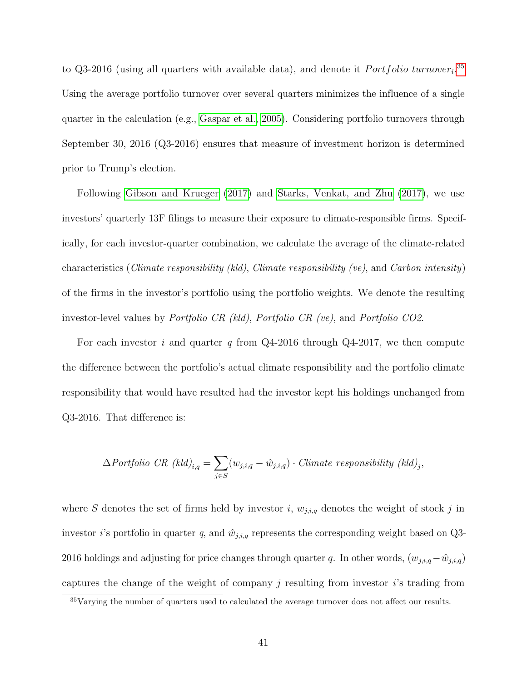to Q3-2016 (using all quarters with available data), and denote it *Portfolio turnover*<sup>[35](#page-42-0)</sup> Using the average portfolio turnover over several quarters minimizes the influence of a single quarter in the calculation (e.g., [Gaspar et al., 2005\)](#page-51-8). Considering portfolio turnovers through September 30, 2016 (Q3-2016) ensures that measure of investment horizon is determined prior to Trump's election.

Following [Gibson and Krueger](#page-52-3) [\(2017\)](#page-52-3) and [Starks, Venkat, and Zhu](#page-53-4) [\(2017\)](#page-53-4), we use investors' quarterly 13F filings to measure their exposure to climate-responsible firms. Specifically, for each investor-quarter combination, we calculate the average of the climate-related characteristics (Climate responsibility (kld), Climate responsibility (ve), and Carbon intensity) of the firms in the investor's portfolio using the portfolio weights. We denote the resulting investor-level values by Portfolio CR (kld), Portfolio CR (ve), and Portfolio CO2.

For each investor i and quarter q from  $Q4-2016$  through  $Q4-2017$ , we then compute the difference between the portfolio's actual climate responsibility and the portfolio climate responsibility that would have resulted had the investor kept his holdings unchanged from Q3-2016. That difference is:

$$
\Delta Portfolio\ CR\ (kld)_{i,q} = \sum_{j \in S} (w_{j,i,q} - \hat{w}_{j,i,q}) \cdot Climate\ responsibility\ (kld)_j,
$$

where S denotes the set of firms held by investor i,  $w_{j,i,q}$  denotes the weight of stock j in investor *i*'s portfolio in quarter q, and  $\hat{w}_{j,i,q}$  represents the corresponding weight based on Q3-2016 holdings and adjusting for price changes through quarter q. In other words,  $(w_{j,i,q}-\hat{w}_{j,i,q})$ captures the change of the weight of company  $j$  resulting from investor  $i$ 's trading from

<span id="page-42-0"></span><sup>35</sup>Varying the number of quarters used to calculated the average turnover does not affect our results.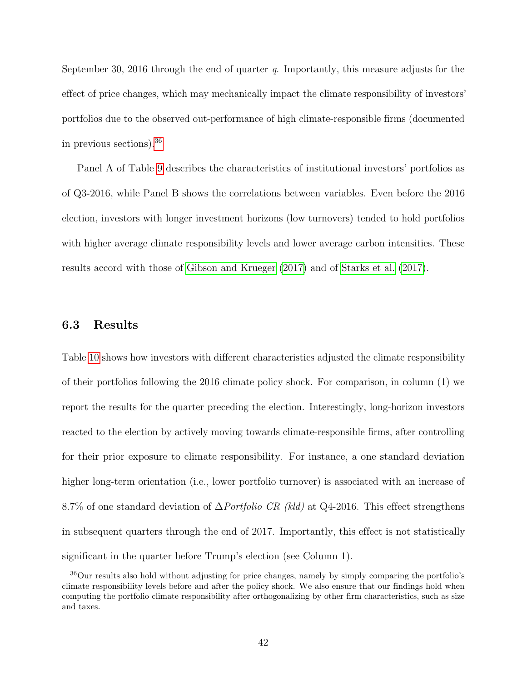September 30, 2016 through the end of quarter  $q$ . Importantly, this measure adjusts for the effect of price changes, which may mechanically impact the climate responsibility of investors' portfolios due to the observed out-performance of high climate-responsible firms (documented in previous sections).[36](#page-43-0)

Panel A of Table [9](#page-44-0) describes the characteristics of institutional investors' portfolios as of Q3-2016, while Panel B shows the correlations between variables. Even before the 2016 election, investors with longer investment horizons (low turnovers) tended to hold portfolios with higher average climate responsibility levels and lower average carbon intensities. These results accord with those of [Gibson and Krueger](#page-52-3) [\(2017\)](#page-52-3) and of [Starks et al.](#page-53-4) [\(2017\)](#page-53-4).

### 6.3 Results

Table [10](#page-45-0) shows how investors with different characteristics adjusted the climate responsibility of their portfolios following the 2016 climate policy shock. For comparison, in column (1) we report the results for the quarter preceding the election. Interestingly, long-horizon investors reacted to the election by actively moving towards climate-responsible firms, after controlling for their prior exposure to climate responsibility. For instance, a one standard deviation higher long-term orientation (i.e., lower portfolio turnover) is associated with an increase of 8.7% of one standard deviation of  $\Delta$ *Portfolio CR (kld)* at Q4-2016. This effect strengthens in subsequent quarters through the end of 2017. Importantly, this effect is not statistically significant in the quarter before Trump's election (see Column 1).

<span id="page-43-0"></span><sup>36</sup>Our results also hold without adjusting for price changes, namely by simply comparing the portfolio's climate responsibility levels before and after the policy shock. We also ensure that our findings hold when computing the portfolio climate responsibility after orthogonalizing by other firm characteristics, such as size and taxes.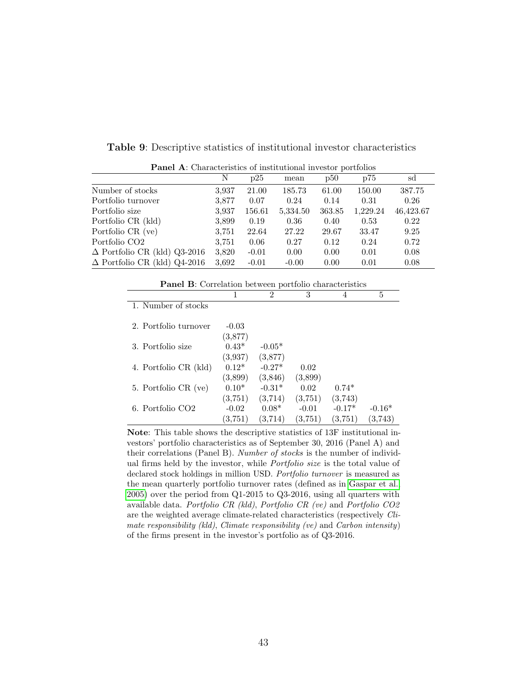<span id="page-44-0"></span>

| <b>Panel A:</b> Characteristics of institutional investor portfolios |       |         |          |        |          |           |  |  |  |  |
|----------------------------------------------------------------------|-------|---------|----------|--------|----------|-----------|--|--|--|--|
|                                                                      | N     | p25     | mean     | p50    | p75      | sd        |  |  |  |  |
| Number of stocks                                                     | 3,937 | 21.00   | 185.73   | 61.00  | 150.00   | 387.75    |  |  |  |  |
| Portfolio turnover                                                   | 3,877 | 0.07    | 0.24     | 0.14   | 0.31     | 0.26      |  |  |  |  |
| Portfolio size                                                       | 3,937 | 156.61  | 5,334.50 | 363.85 | 1,229.24 | 46,423.67 |  |  |  |  |
| Portfolio CR (kld)                                                   | 3,899 | 0.19    | 0.36     | 0.40   | 0.53     | 0.22      |  |  |  |  |
| Portfolio CR (ve)                                                    | 3,751 | 22.64   | 27.22    | 29.67  | 33.47    | 9.25      |  |  |  |  |
| Portfolio CO <sub>2</sub>                                            | 3,751 | 0.06    | 0.27     | 0.12   | 0.24     | 0.72      |  |  |  |  |
| $\Delta$ Portfolio CR (kld) Q3-2016                                  | 3,820 | $-0.01$ | 0.00     | 0.00   | 0.01     | 0.08      |  |  |  |  |
| $\Delta$ Portfolio CR (kld) Q4-2016                                  | 3,692 | $-0.01$ | $-0.00$  | 0.00   | 0.01     | 0.08      |  |  |  |  |

Table 9: Descriptive statistics of institutional investor characteristics

| <b>Panel B:</b> Correlation between portfolio characteristics |                    |                     |                    |                     |                     |  |  |  |  |  |
|---------------------------------------------------------------|--------------------|---------------------|--------------------|---------------------|---------------------|--|--|--|--|--|
|                                                               |                    | $\mathfrak{D}$      | 3                  | 4                   | 5                   |  |  |  |  |  |
| 1. Number of stocks                                           |                    |                     |                    |                     |                     |  |  |  |  |  |
| 2. Portfolio turnover                                         | $-0.03$<br>(3,877) |                     |                    |                     |                     |  |  |  |  |  |
| 3. Portfolio size                                             | $0.43*$<br>(3,937) | $-0.05*$<br>(3,877) |                    |                     |                     |  |  |  |  |  |
| 4. Portfolio CR (kld)                                         | $0.12*$<br>(3,899) | $-0.27*$<br>(3,846) | 0.02<br>(3,899)    |                     |                     |  |  |  |  |  |
| 5. Portfolio CR (ve)                                          | $0.10*$<br>(3,751) | $-0.31*$<br>(3,714) | 0.02<br>(3,751)    | $0.74*$<br>(3,743)  |                     |  |  |  |  |  |
| 6. Portfolio CO <sub>2</sub>                                  | $-0.02$<br>(3,751) | $0.08*$<br>(3,714)  | $-0.01$<br>(3,751) | $-0.17*$<br>(3,751) | $-0.16*$<br>(3,743) |  |  |  |  |  |

Note: This table shows the descriptive statistics of 13F institutional investors' portfolio characteristics as of September 30, 2016 (Panel A) and their correlations (Panel B). Number of stocks is the number of individual firms held by the investor, while Portfolio size is the total value of declared stock holdings in million USD. Portfolio turnover is measured as the mean quarterly portfolio turnover rates (defined as in [Gaspar et al.,](#page-51-8) [2005\)](#page-51-8) over the period from Q1-2015 to Q3-2016, using all quarters with available data. Portfolio CR (kld), Portfolio CR (ve) and Portfolio CO2 are the weighted average climate-related characteristics (respectively Climate responsibility (kld), Climate responsibility (ve) and Carbon intensity) of the firms present in the investor's portfolio as of Q3-2016.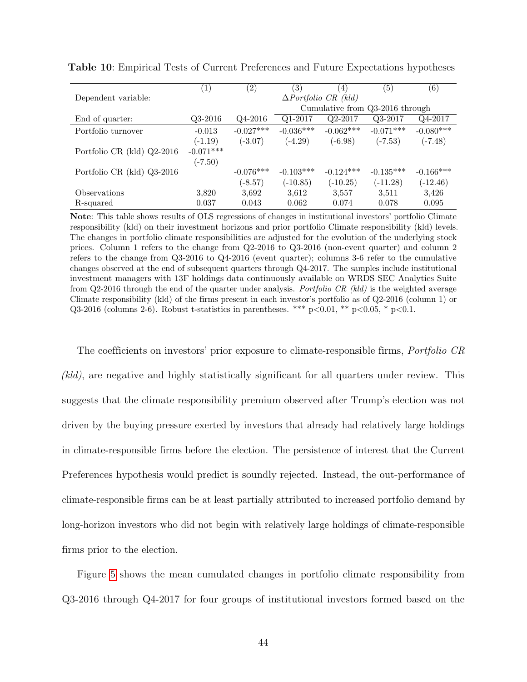|                            | $\left(1\right)$ | $\left( 2\right)$ | (3)                             | $\left(4\right)$                   | 5)          | $\left(6\right)$ |  |
|----------------------------|------------------|-------------------|---------------------------------|------------------------------------|-------------|------------------|--|
| Dependent variable:        |                  |                   |                                 | $\Delta$ <i>Portfolio CR (kld)</i> |             |                  |  |
|                            |                  |                   | Cumulative from Q3-2016 through |                                    |             |                  |  |
| End of quarter:            | $Q3-2016$        | $Q4-2016$         | $Q1-2017$                       | $Q2-2017$                          | Q3-2017     | Q4-2017          |  |
| Portfolio turnover         | $-0.013$         | $-0.027***$       | $-0.036***$                     | $-0.062***$                        | $-0.071***$ | $-0.080***$      |  |
|                            | $(-1.19)$        | $(-3.07)$         | $(-4.29)$                       | $(-6.98)$                          | $(-7.53)$   | $(-7.48)$        |  |
| Portfolio CR (kld) Q2-2016 | $-0.071***$      |                   |                                 |                                    |             |                  |  |
|                            | $(-7.50)$        |                   |                                 |                                    |             |                  |  |
| Portfolio CR (kld) Q3-2016 |                  | $-0.076***$       | $-0.103***$                     | $-0.124***$                        | $-0.135***$ | $-0.166***$      |  |
|                            |                  | $(-8.57)$         | $(-10.85)$                      | $(-10.25)$                         | $(-11.28)$  | $(-12.46)$       |  |
| Observations               | 3,820            | 3,692             | 3,612                           | 3,557                              | 3,511       | 3,426            |  |
| R-squared                  | 0.037            | 0.043             | 0.062                           | 0.074                              | 0.078       | 0.095            |  |

<span id="page-45-0"></span>Table 10: Empirical Tests of Current Preferences and Future Expectations hypotheses

Note: This table shows results of OLS regressions of changes in institutional investors' portfolio Climate responsibility (kld) on their investment horizons and prior portfolio Climate responsibility (kld) levels. The changes in portfolio climate responsibilities are adjusted for the evolution of the underlying stock prices. Column 1 refers to the change from Q2-2016 to Q3-2016 (non-event quarter) and column 2 refers to the change from Q3-2016 to Q4-2016 (event quarter); columns 3-6 refer to the cumulative changes observed at the end of subsequent quarters through Q4-2017. The samples include institutional investment managers with 13F holdings data continuously available on WRDS SEC Analytics Suite from Q2-2016 through the end of the quarter under analysis. Portfolio CR (kld) is the weighted average Climate responsibility (kld) of the firms present in each investor's portfolio as of Q2-2016 (column 1) or Q3-2016 (columns 2-6). Robust t-statistics in parentheses. \*\*\*  $p<0.01$ , \*\*  $p<0.05$ , \*  $p<0.1$ .

The coefficients on investors' prior exposure to climate-responsible firms, *Portfolio CR* (kld), are negative and highly statistically significant for all quarters under review. This suggests that the climate responsibility premium observed after Trump's election was not driven by the buying pressure exerted by investors that already had relatively large holdings in climate-responsible firms before the election. The persistence of interest that the Current Preferences hypothesis would predict is soundly rejected. Instead, the out-performance of climate-responsible firms can be at least partially attributed to increased portfolio demand by long-horizon investors who did not begin with relatively large holdings of climate-responsible firms prior to the election.

Figure [5](#page-46-0) shows the mean cumulated changes in portfolio climate responsibility from Q3-2016 through Q4-2017 for four groups of institutional investors formed based on the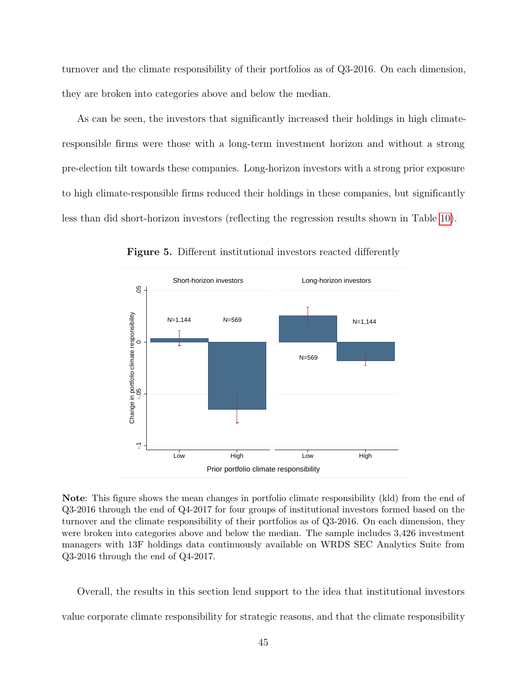turnover and the climate responsibility of their portfolios as of Q3-2016. On each dimension, they are broken into categories above and below the median.

As can be seen, the investors that significantly increased their holdings in high climateresponsible firms were those with a long-term investment horizon and without a strong pre-election tilt towards these companies. Long-horizon investors with a strong prior exposure to high climate-responsible firms reduced their holdings in these companies, but significantly less than did short-horizon investors (reflecting the regression results shown in Table [10\)](#page-45-0).

<span id="page-46-0"></span>

Figure 5. Different institutional investors reacted differently

Note: This figure shows the mean changes in portfolio climate responsibility (kld) from the end of Q3-2016 through the end of Q4-2017 for four groups of institutional investors formed based on the turnover and the climate responsibility of their portfolios as of Q3-2016. On each dimension, they were broken into categories above and below the median. The sample includes 3,426 investment managers with 13F holdings data continuously available on WRDS SEC Analytics Suite from Q3-2016 through the end of Q4-2017.

Overall, the results in this section lend support to the idea that institutional investors value corporate climate responsibility for strategic reasons, and that the climate responsibility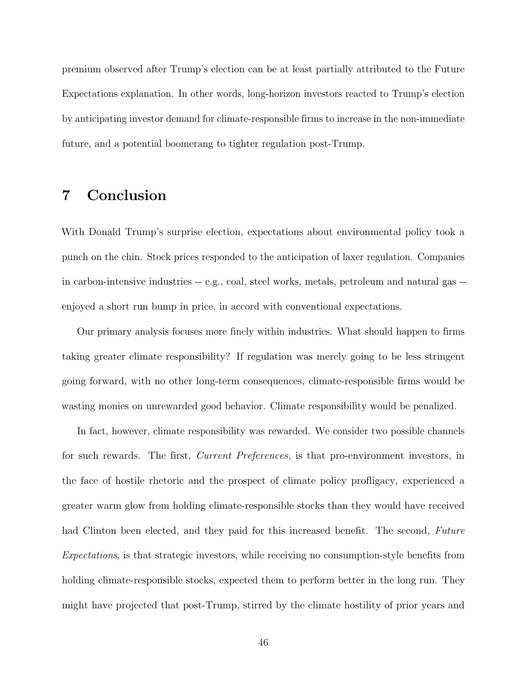premium observed after Trump's election can be at least partially attributed to the Future Expectations explanation. In other words, long-horizon investors reacted to Trump's election by anticipating investor demand for climate-responsible firms to increase in the non-immediate future, and a potential boomerang to tighter regulation post-Trump.

# <span id="page-47-0"></span>7 Conclusion

With Donald Trump's surprise election, expectations about environmental policy took a punch on the chin. Stock prices responded to the anticipation of laxer regulation. Companies in carbon-intensive industries -- e.g., coal, steel works, metals, petroleum and natural gas - enjoyed a short run bump in price, in accord with conventional expectations.

Our primary analysis focuses more finely within industries. What should happen to firms taking greater climate responsibility? If regulation was merely going to be less stringent going forward, with no other long-term consequences, climate-responsible firms would be wasting monies on unrewarded good behavior. Climate responsibility would be penalized.

In fact, however, climate responsibility was rewarded. We consider two possible channels for such rewards. The first, *Current Preferences*, is that pro-environment investors, in the face of hostile rhetoric and the prospect of climate policy profligacy, experienced a greater warm glow from holding climate-responsible stocks than they would have received had Clinton been elected, and they paid for this increased benefit. The second, Future Expectations, is that strategic investors, while receiving no consumption-style benefits from holding climate-responsible stocks, expected them to perform better in the long run. They might have projected that post-Trump, stirred by the climate hostility of prior years and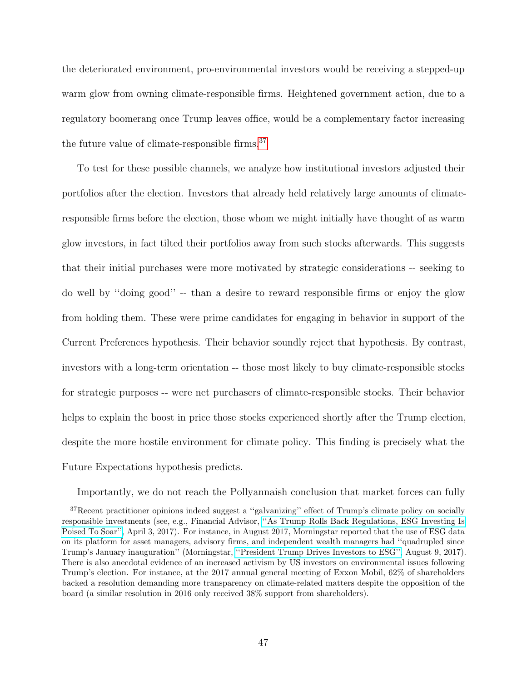the deteriorated environment, pro-environmental investors would be receiving a stepped-up warm glow from owning climate-responsible firms. Heightened government action, due to a regulatory boomerang once Trump leaves office, would be a complementary factor increasing the future value of climate-responsible firms.[37](#page-48-0)

To test for these possible channels, we analyze how institutional investors adjusted their portfolios after the election. Investors that already held relatively large amounts of climateresponsible firms before the election, those whom we might initially have thought of as warm glow investors, in fact tilted their portfolios away from such stocks afterwards. This suggests that their initial purchases were more motivated by strategic considerations -- seeking to do well by ''doing good'' -- than a desire to reward responsible firms or enjoy the glow from holding them. These were prime candidates for engaging in behavior in support of the Current Preferences hypothesis. Their behavior soundly reject that hypothesis. By contrast, investors with a long-term orientation -- those most likely to buy climate-responsible stocks for strategic purposes -- were net purchasers of climate-responsible stocks. Their behavior helps to explain the boost in price those stocks experienced shortly after the Trump election, despite the more hostile environment for climate policy. This finding is precisely what the Future Expectations hypothesis predicts.

<span id="page-48-0"></span>Importantly, we do not reach the Pollyannaish conclusion that market forces can fully

<sup>37</sup>Recent practitioner opinions indeed suggest a ''galvanizing'' effect of Trump's climate policy on socially responsible investments (see, e.g., Financial Advisor, [''As Trump Rolls Back Regulations, ESG Investing Is](https://www.fa-mag.com/news/as-trump-rolls-back-regulations--esg-investing-is-poised-to-soar-32134.html) [Poised To Soar'',](https://www.fa-mag.com/news/as-trump-rolls-back-regulations--esg-investing-is-poised-to-soar-32134.html) April 3, 2017). For instance, in August 2017, Morningstar reported that the use of ESG data on its platform for asset managers, advisory firms, and independent wealth managers had ''quadrupled since Trump's January inauguration'' (Morningstar, [''President Trump Drives Investors to ESG'',](http://www.morningstar.co.uk/uk/news/160541/president-trump-drives-investors-to-esg.aspx) August 9, 2017). There is also anecdotal evidence of an increased activism by US investors on environmental issues following Trump's election. For instance, at the 2017 annual general meeting of Exxon Mobil, 62% of shareholders backed a resolution demanding more transparency on climate-related matters despite the opposition of the board (a similar resolution in 2016 only received 38% support from shareholders).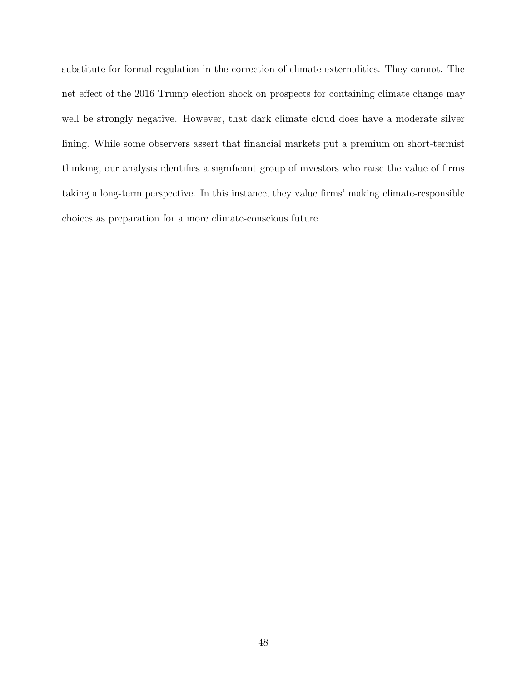substitute for formal regulation in the correction of climate externalities. They cannot. The net effect of the 2016 Trump election shock on prospects for containing climate change may well be strongly negative. However, that dark climate cloud does have a moderate silver lining. While some observers assert that financial markets put a premium on short-termist thinking, our analysis identifies a significant group of investors who raise the value of firms taking a long-term perspective. In this instance, they value firms' making climate-responsible choices as preparation for a more climate-conscious future.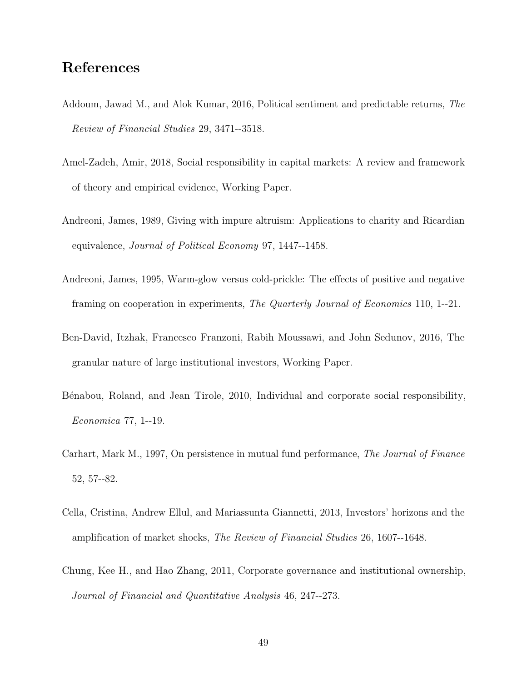# References

- <span id="page-50-4"></span>Addoum, Jawad M., and Alok Kumar, 2016, Political sentiment and predictable returns, The Review of Financial Studies 29, 3471--3518.
- <span id="page-50-3"></span>Amel-Zadeh, Amir, 2018, Social responsibility in capital markets: A review and framework of theory and empirical evidence, Working Paper.
- <span id="page-50-1"></span>Andreoni, James, 1989, Giving with impure altruism: Applications to charity and Ricardian equivalence, Journal of Political Economy 97, 1447--1458.
- <span id="page-50-2"></span>Andreoni, James, 1995, Warm-glow versus cold-prickle: The effects of positive and negative framing on cooperation in experiments, The Quarterly Journal of Economics 110, 1--21.
- <span id="page-50-6"></span>Ben-David, Itzhak, Francesco Franzoni, Rabih Moussawi, and John Sedunov, 2016, The granular nature of large institutional investors, Working Paper.
- <span id="page-50-0"></span>Bénabou, Roland, and Jean Tirole, 2010, Individual and corporate social responsibility, Economica 77, 1--19.
- <span id="page-50-8"></span>Carhart, Mark M., 1997, On persistence in mutual fund performance, The Journal of Finance 52, 57--82.
- <span id="page-50-7"></span>Cella, Cristina, Andrew Ellul, and Mariassunta Giannetti, 2013, Investors' horizons and the amplification of market shocks, The Review of Financial Studies 26, 1607--1648.
- <span id="page-50-5"></span>Chung, Kee H., and Hao Zhang, 2011, Corporate governance and institutional ownership, Journal of Financial and Quantitative Analysis 46, 247--273.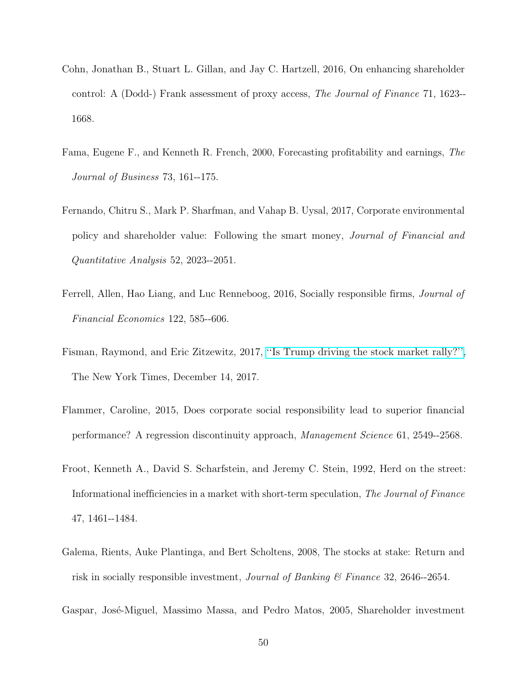- <span id="page-51-6"></span>Cohn, Jonathan B., Stuart L. Gillan, and Jay C. Hartzell, 2016, On enhancing shareholder control: A (Dodd-) Frank assessment of proxy access, The Journal of Finance 71, 1623-- 1668.
- <span id="page-51-5"></span>Fama, Eugene F., and Kenneth R. French, 2000, Forecasting profitability and earnings, The Journal of Business 73, 161--175.
- <span id="page-51-0"></span>Fernando, Chitru S., Mark P. Sharfman, and Vahap B. Uysal, 2017, Corporate environmental policy and shareholder value: Following the smart money, Journal of Financial and Quantitative Analysis 52, 2023--2051.
- <span id="page-51-3"></span>Ferrell, Allen, Hao Liang, and Luc Renneboog, 2016, Socially responsible firms, Journal of Financial Economics 122, 585--606.
- <span id="page-51-4"></span>Fisman, Raymond, and Eric Zitzewitz, 2017, [''Is Trump driving the stock market rally?'',](https://www.nytimes.com/interactive/2017/12/14/opinion/trump-stock-market-rally.html?mtrref=idlmail03.lotus.uzh.ch&gwh=2E37FA61831C64B3E96EC13F1564E894&gwt=pay&assetType=opinion) The New York Times, December 14, 2017.
- <span id="page-51-1"></span>Flammer, Caroline, 2015, Does corporate social responsibility lead to superior financial performance? A regression discontinuity approach, Management Science 61, 2549--2568.
- <span id="page-51-7"></span>Froot, Kenneth A., David S. Scharfstein, and Jeremy C. Stein, 1992, Herd on the street: Informational inefficiencies in a market with short-term speculation, The Journal of Finance 47, 1461--1484.
- <span id="page-51-2"></span>Galema, Rients, Auke Plantinga, and Bert Scholtens, 2008, The stocks at stake: Return and risk in socially responsible investment, *Journal of Banking*  $\mathscr$  *Finance* 32, 2646--2654.
- <span id="page-51-8"></span>Gaspar, Jos´e-Miguel, Massimo Massa, and Pedro Matos, 2005, Shareholder investment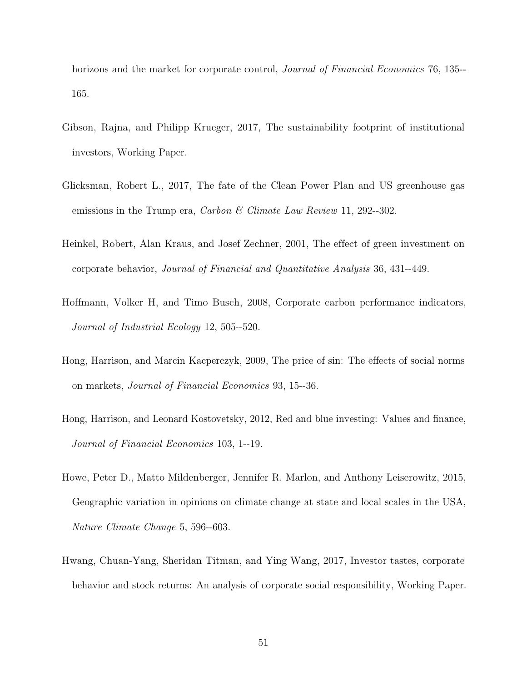horizons and the market for corporate control, *Journal of Financial Economics* 76, 135--165.

- <span id="page-52-3"></span>Gibson, Rajna, and Philipp Krueger, 2017, The sustainability footprint of institutional investors, Working Paper.
- <span id="page-52-2"></span>Glicksman, Robert L., 2017, The fate of the Clean Power Plan and US greenhouse gas emissions in the Trump era, *Carbon & Climate Law Review* 11, 292--302.
- <span id="page-52-0"></span>Heinkel, Robert, Alan Kraus, and Josef Zechner, 2001, The effect of green investment on corporate behavior, Journal of Financial and Quantitative Analysis 36, 431--449.
- <span id="page-52-6"></span>Hoffmann, Volker H, and Timo Busch, 2008, Corporate carbon performance indicators, Journal of Industrial Ecology 12, 505--520.
- <span id="page-52-7"></span>Hong, Harrison, and Marcin Kacperczyk, 2009, The price of sin: The effects of social norms on markets, Journal of Financial Economics 93, 15--36.
- <span id="page-52-5"></span>Hong, Harrison, and Leonard Kostovetsky, 2012, Red and blue investing: Values and finance, Journal of Financial Economics 103, 1--19.
- <span id="page-52-1"></span>Howe, Peter D., Matto Mildenberger, Jennifer R. Marlon, and Anthony Leiserowitz, 2015, Geographic variation in opinions on climate change at state and local scales in the USA, Nature Climate Change 5, 596--603.
- <span id="page-52-4"></span>Hwang, Chuan-Yang, Sheridan Titman, and Ying Wang, 2017, Investor tastes, corporate behavior and stock returns: An analysis of corporate social responsibility, Working Paper.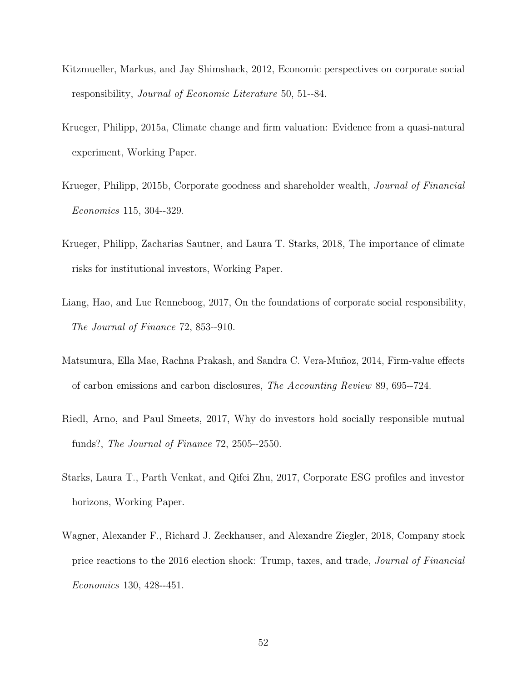- <span id="page-53-5"></span>Kitzmueller, Markus, and Jay Shimshack, 2012, Economic perspectives on corporate social responsibility, Journal of Economic Literature 50, 51--84.
- <span id="page-53-3"></span>Krueger, Philipp, 2015a, Climate change and firm valuation: Evidence from a quasi-natural experiment, Working Paper.
- <span id="page-53-2"></span>Krueger, Philipp, 2015b, Corporate goodness and shareholder wealth, Journal of Financial Economics 115, 304--329.
- <span id="page-53-0"></span>Krueger, Philipp, Zacharias Sautner, and Laura T. Starks, 2018, The importance of climate risks for institutional investors, Working Paper.
- <span id="page-53-6"></span>Liang, Hao, and Luc Renneboog, 2017, On the foundations of corporate social responsibility, The Journal of Finance 72, 853--910.
- <span id="page-53-7"></span>Matsumura, Ella Mae, Rachna Prakash, and Sandra C. Vera-Muñoz, 2014, Firm-value effects of carbon emissions and carbon disclosures, The Accounting Review 89, 695--724.
- <span id="page-53-8"></span>Riedl, Arno, and Paul Smeets, 2017, Why do investors hold socially responsible mutual funds?, The Journal of Finance 72, 2505--2550.
- <span id="page-53-4"></span>Starks, Laura T., Parth Venkat, and Qifei Zhu, 2017, Corporate ESG profiles and investor horizons, Working Paper.
- <span id="page-53-1"></span>Wagner, Alexander F., Richard J. Zeckhauser, and Alexandre Ziegler, 2018, Company stock price reactions to the 2016 election shock: Trump, taxes, and trade, Journal of Financial Economics 130, 428--451.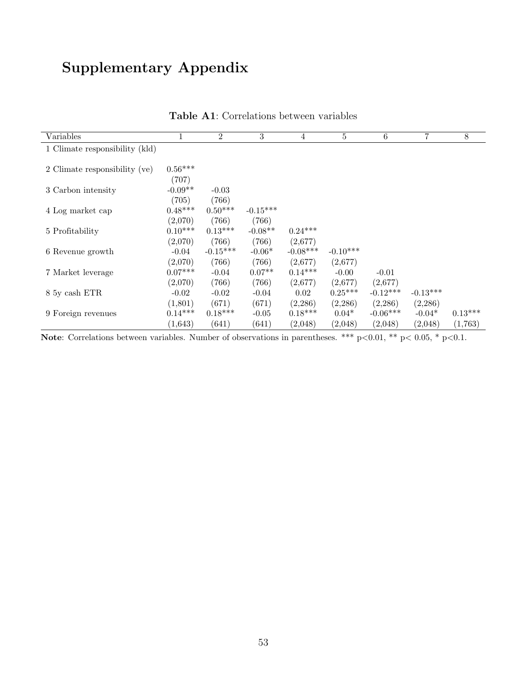# Supplementary Appendix

<span id="page-54-0"></span>

| Variables                      |           | $\overline{2}$ | 3          | 4          | 5          | 6          | 7          | $\,8\,$   |
|--------------------------------|-----------|----------------|------------|------------|------------|------------|------------|-----------|
| 1 Climate responsibility (kld) |           |                |            |            |            |            |            |           |
|                                |           |                |            |            |            |            |            |           |
| 2 Climate responsibility (ve)  | $0.56***$ |                |            |            |            |            |            |           |
|                                | (707)     |                |            |            |            |            |            |           |
| 3 Carbon intensity             | $-0.09**$ | $-0.03$        |            |            |            |            |            |           |
|                                | (705)     | (766)          |            |            |            |            |            |           |
| 4 Log market cap               | $0.48***$ | $0.50***$      | $-0.15***$ |            |            |            |            |           |
|                                | (2,070)   | (766)          | (766)      |            |            |            |            |           |
| 5 Profitability                | $0.10***$ | $0.13***$      | $-0.08**$  | $0.24***$  |            |            |            |           |
|                                | (2,070)   | (766)          | (766)      | (2,677)    |            |            |            |           |
| 6 Revenue growth               | $-0.04$   | $-0.15***$     | $-0.06*$   | $-0.08***$ | $-0.10***$ |            |            |           |
|                                | (2,070)   | (766)          | (766)      | (2,677)    | (2,677)    |            |            |           |
| 7 Market leverage              | $0.07***$ | $-0.04$        | $0.07**$   | $0.14***$  | $-0.00$    | $-0.01$    |            |           |
|                                | (2,070)   | (766)          | (766)      | (2,677)    | (2,677)    | (2,677)    |            |           |
| 8 5y cash ETR                  | $-0.02$   | $-0.02$        | $-0.04$    | 0.02       | $0.25***$  | $-0.12***$ | $-0.13***$ |           |
|                                | (1,801)   | (671)          | (671)      | (2, 286)   | (2,286)    | (2,286)    | (2,286)    |           |
| 9 Foreign revenues             | $0.14***$ | $0.18***$      | $-0.05$    | $0.18***$  | $0.04*$    | $-0.06***$ | $-0.04*$   | $0.13***$ |
|                                | (1,643)   | (641)          | (641)      | (2,048)    | (2,048)    | (2,048)    | (2,048)    | (1,763)   |

Table A1: Correlations between variables

Note: Correlations between variables. Number of observations in parentheses. \*\*\*  $p<0.01$ , \*\*  $p<0.05$ , \*  $p<0.1$ .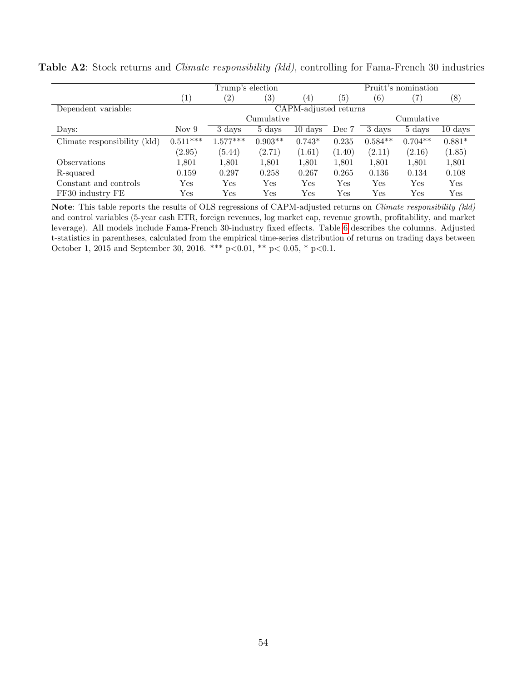|                              | Trump's election      |            |              |                      |              | Pruitt's nomination |            |                      |  |
|------------------------------|-----------------------|------------|--------------|----------------------|--------------|---------------------|------------|----------------------|--|
|                              | $\left(1\right)$      | (2)        | (3)          | $\left(4\right)$     | (5)          | (6)                 | 7)         | (8)                  |  |
| Dependent variable:          | CAPM-adjusted returns |            |              |                      |              |                     |            |                      |  |
|                              |                       |            | Cumulative   |                      |              |                     | Cumulative |                      |  |
| Days:                        | Nov <sub>9</sub>      | 3 days     | 5 days       | $10 \ \mathrm{days}$ | Dec 7        | 3 days              | 5 days     | $10 \ \mathrm{days}$ |  |
| Climate responsibility (kld) | $0.511***$            | $1.577***$ | $0.903**$    | $0.743*$             | 0.235        | $0.584**$           | $0.704**$  | $0.881*$             |  |
|                              | (2.95)                | (5.44)     | (2.71)       | (1.61)               | (1.40)       | (2.11)              | (2.16)     | (1.85)               |  |
| Observations                 | 1,801                 | 1,801      | 1,801        | 1,801                | 1,801        | 1,801               | 1,801      | 1,801                |  |
| R-squared                    | 0.159                 | 0.297      | 0.258        | 0.267                | 0.265        | 0.136               | 0.134      | 0.108                |  |
| Constant and controls        | $_{\rm Yes}$          | Yes        | Yes          | Yes                  | Yes          | Yes                 | Yes        | Yes                  |  |
| FF30 industry FE             | $_{\rm Yes}$          | Yes        | $_{\rm Yes}$ | $\operatorname{Yes}$ | $_{\rm Yes}$ | $_{\rm Yes}$        | Yes        | Yes                  |  |

<span id="page-55-0"></span>Table A2: Stock returns and *Climate responsibility (kld)*, controlling for Fama-French 30 industries

Note: This table reports the results of OLS regressions of CAPM-adjusted returns on *Climate responsibility (kld)* and control variables (5-year cash ETR, foreign revenues, log market cap, revenue growth, profitability, and market leverage). All models include Fama-French 30-industry fixed effects. Table [6](#page-28-0) describes the columns. Adjusted t-statistics in parentheses, calculated from the empirical time-series distribution of returns on trading days between October 1, 2015 and September 30, 2016. \*\*\* p<0.01, \*\* p<0.05, \* p<0.1.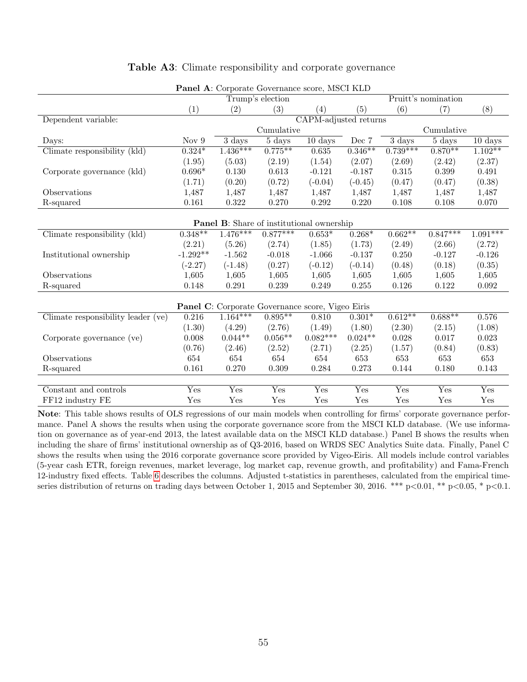<span id="page-56-0"></span>

|                                    |                           | Trump's election                                        |                           |                           |           |                           | Pruitt's nomination |                       |  |
|------------------------------------|---------------------------|---------------------------------------------------------|---------------------------|---------------------------|-----------|---------------------------|---------------------|-----------------------|--|
|                                    | (1)                       | (2)                                                     | (3)                       | (4)                       | (5)       | (6)                       | (7)                 | (8)                   |  |
| Dependent variable:                |                           |                                                         |                           | CAPM-adjusted returns     |           |                           |                     |                       |  |
|                                    |                           |                                                         | Cumulative                |                           |           |                           | Cumulative          |                       |  |
| Days:                              | Nov $9$                   | $\overline{3}$ days                                     | 5 days                    | $10 \text{ days}$         | Dec 7     | $\overline{3}$ days       | $5 \text{ days}$    | $10 \ \mathrm{days}$  |  |
| Climate responsibility (kld)       | $0.324*$                  | $1.436***$                                              | $0.775***$                | 0.635                     | $0.346**$ | $0.739***$                | $0.870**$           | $1.102**$             |  |
|                                    | (1.95)                    | (5.03)                                                  | (2.19)                    | (1.54)                    | (2.07)    | (2.69)                    | (2.42)              | (2.37)                |  |
| Corporate governance (kld)         | $0.696*$                  | 0.130                                                   | 0.613                     | $-0.121$                  | $-0.187$  | 0.315                     | 0.399               | 0.491                 |  |
|                                    | (1.71)                    | (0.20)                                                  | (0.72)                    | $(-0.04)$                 | $(-0.45)$ | (0.47)                    | (0.47)              | (0.38)                |  |
| Observations                       | 1,487                     | 1,487                                                   | 1,487                     | 1,487                     | 1,487     | 1,487                     | 1,487               | 1,487                 |  |
| R-squared                          | 0.161                     | 0.322                                                   | 0.270                     | 0.292                     | 0.220     | 0.108                     | 0.108               | 0.070                 |  |
|                                    |                           |                                                         |                           |                           |           |                           |                     |                       |  |
|                                    |                           | <b>Panel B:</b> Share of institutional ownership        |                           |                           |           |                           |                     |                       |  |
| Climate responsibility (kld)       | $0.348**$                 | $1.476***$                                              | $0.877***$                | $0.653*$                  | $0.268*$  | $0.662**$                 | $0.847***$          | $1.\overline{091***}$ |  |
|                                    | (2.21)                    | (5.26)                                                  | (2.74)                    | (1.85)                    | (1.73)    | (2.49)                    | (2.66)              | (2.72)                |  |
| Institutional ownership            | $-1.292**$                | $-1.562$                                                | $-0.018$                  | $-1.066$                  | $-0.137$  | 0.250                     | $-0.127$            | $-0.126$              |  |
|                                    | $(-2.27)$                 | $(-1.48)$                                               | (0.27)                    | $(-0.12)$                 | $(-0.14)$ | (0.48)                    | (0.18)              | (0.35)                |  |
| Observations                       | 1,605                     | 1,605                                                   | 1,605                     | 1,605                     | 1,605     | 1,605                     | 1,605               | 1,605                 |  |
| R-squared                          | 0.148                     | 0.291                                                   | 0.239                     | 0.249                     | 0.255     | 0.126                     | 0.122               | 0.092                 |  |
|                                    |                           |                                                         |                           |                           |           |                           |                     |                       |  |
|                                    |                           | <b>Panel C:</b> Corporate Governance score, Vigeo Eiris |                           |                           |           |                           |                     |                       |  |
| Climate responsibility leader (ve) | 0.216                     | $1.164***$                                              | $0.895***$                | 0.810                     | $0.301*$  | $0.612**$                 | $0.688**$           | 0.576                 |  |
|                                    | (1.30)                    | (4.29)                                                  | (2.76)                    | (1.49)                    | (1.80)    | (2.30)                    | (2.15)              | (1.08)                |  |
| Corporate governance (ve)          | 0.008                     | $0.044**$                                               | $0.056**$                 | $0.082***$                | $0.024**$ | 0.028                     | 0.017               | 0.023                 |  |
|                                    | (0.76)                    | (2.46)                                                  | (2.52)                    | (2.71)                    | (2.25)    | (1.57)                    | (0.84)              | (0.83)                |  |
| Observations                       | 654                       | 654                                                     | 654                       | 654                       | 653       | 653                       | 653                 | 653                   |  |
| R-squared                          | 0.161                     | 0.270                                                   | 0.309                     | 0.284                     | 0.273     | 0.144                     | 0.180               | 0.143                 |  |
|                                    |                           |                                                         |                           |                           |           |                           |                     |                       |  |
| Constant and controls              | $\overline{\mathrm{Yes}}$ | Yes                                                     | $\overline{\mathrm{Yes}}$ | $\overline{\mathrm{Yes}}$ | Yes       | $\overline{\mathrm{Yes}}$ | Yes                 | Yes                   |  |
| FF12 industry FE                   | Yes                       | Yes                                                     | Yes                       | Yes                       | Yes       | Yes                       | Yes                 | Yes                   |  |

#### Table A3: Climate responsibility and corporate governance

Panel A: Corporate Governance score, MSCI KLD

Note: This table shows results of OLS regressions of our main models when controlling for firms' corporate governance performance. Panel A shows the results when using the corporate governance score from the MSCI KLD database. (We use information on governance as of year-end 2013, the latest available data on the MSCI KLD database.) Panel B shows the results when including the share of firms' institutional ownership as of Q3-2016, based on WRDS SEC Analytics Suite data. Finally, Panel C shows the results when using the 2016 corporate governance score provided by Vigeo-Eiris. All models include control variables (5-year cash ETR, foreign revenues, market leverage, log market cap, revenue growth, and profitability) and Fama-French 12-industry fixed effects. Table [6](#page-28-0) describes the columns. Adjusted t-statistics in parentheses, calculated from the empirical timeseries distribution of returns on trading days between October 1, 2015 and September 30, 2016. \*\*\*  $p<0.01$ , \*\*  $p<0.05$ , \*  $p<0.1$ .